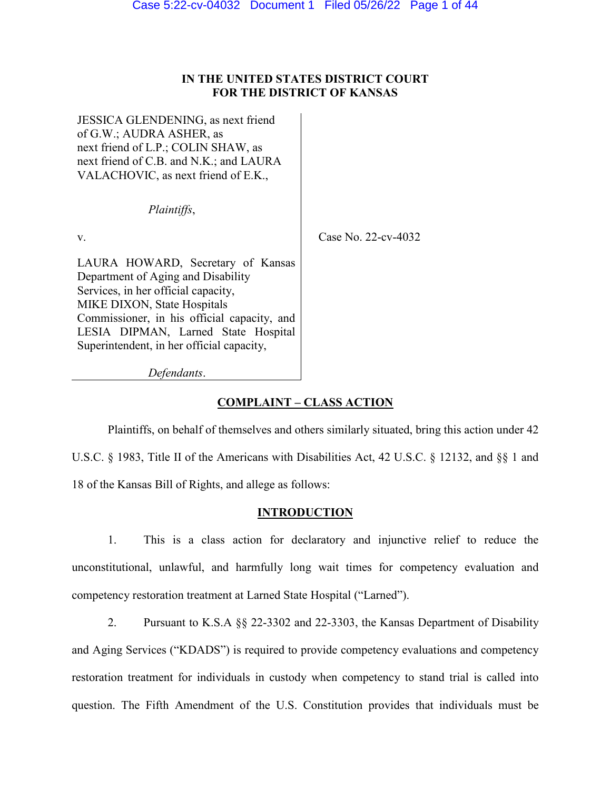# **IN THE UNITED STATES DISTRICT COURT FOR THE DISTRICT OF KANSAS**

JESSICA GLENDENING, as next friend of G.W.; AUDRA ASHER, as next friend of L.P.; COLIN SHAW, as next friend of C.B. and N.K.; and LAURA VALACHOVIC, as next friend of E.K., *Plaintiffs*, v. **Case No. 22-cv-4032** LAURA HOWARD, Secretary of Kansas Department of Aging and Disability Services, in her official capacity, MIKE DIXON, State Hospitals Commissioner, in his official capacity, and LESIA DIPMAN, Larned State Hospital Superintendent, in her official capacity, *Defendants*.

**COMPLAINT – CLASS ACTION**

Plaintiffs, on behalf of themselves and others similarly situated, bring this action under 42 U.S.C. § 1983, Title II of the Americans with Disabilities Act, 42 U.S.C. § 12132, and §§ 1 and 18 of the Kansas Bill of Rights, and allege as follows:

# **INTRODUCTION**

1. This is a class action for declaratory and injunctive relief to reduce the unconstitutional, unlawful, and harmfully long wait times for competency evaluation and competency restoration treatment at Larned State Hospital ("Larned").

2. Pursuant to K.S.A §§ 22-3302 and 22-3303, the Kansas Department of Disability and Aging Services ("KDADS") is required to provide competency evaluations and competency restoration treatment for individuals in custody when competency to stand trial is called into question. The Fifth Amendment of the U.S. Constitution provides that individuals must be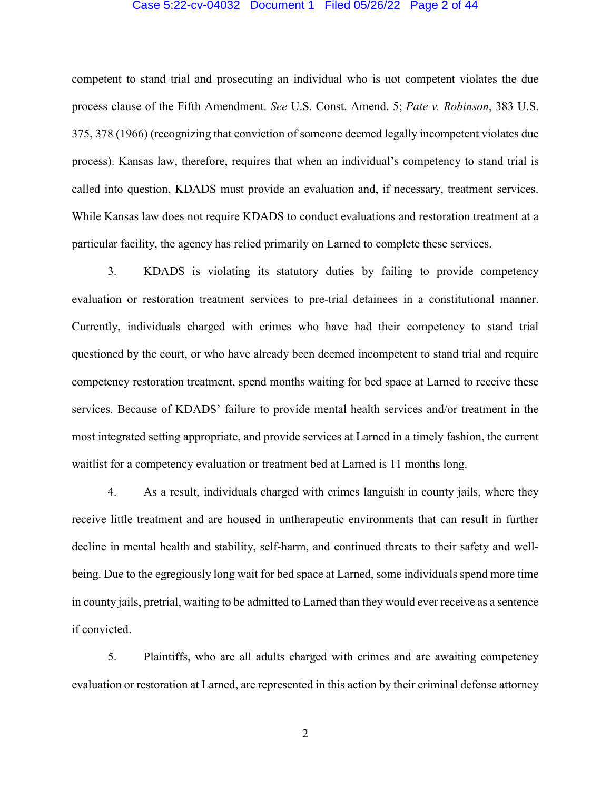#### Case 5:22-cv-04032 Document 1 Filed 05/26/22 Page 2 of 44

competent to stand trial and prosecuting an individual who is not competent violates the due process clause of the Fifth Amendment. *See* U.S. Const. Amend. 5; *Pate v. Robinson*, 383 U.S. 375, 378 (1966) (recognizing that conviction of someone deemed legally incompetent violates due process). Kansas law, therefore, requires that when an individual's competency to stand trial is called into question, KDADS must provide an evaluation and, if necessary, treatment services. While Kansas law does not require KDADS to conduct evaluations and restoration treatment at a particular facility, the agency has relied primarily on Larned to complete these services.

3. KDADS is violating its statutory duties by failing to provide competency evaluation or restoration treatment services to pre-trial detainees in a constitutional manner. Currently, individuals charged with crimes who have had their competency to stand trial questioned by the court, or who have already been deemed incompetent to stand trial and require competency restoration treatment, spend months waiting for bed space at Larned to receive these services. Because of KDADS' failure to provide mental health services and/or treatment in the most integrated setting appropriate, and provide services at Larned in a timely fashion, the current waitlist for a competency evaluation or treatment bed at Larned is 11 months long.

4. As a result, individuals charged with crimes languish in county jails, where they receive little treatment and are housed in untherapeutic environments that can result in further decline in mental health and stability, self-harm, and continued threats to their safety and wellbeing. Due to the egregiously long wait for bed space at Larned, some individuals spend more time in county jails, pretrial, waiting to be admitted to Larned than they would ever receive as a sentence if convicted.

5. Plaintiffs, who are all adults charged with crimes and are awaiting competency evaluation or restoration at Larned, are represented in this action by their criminal defense attorney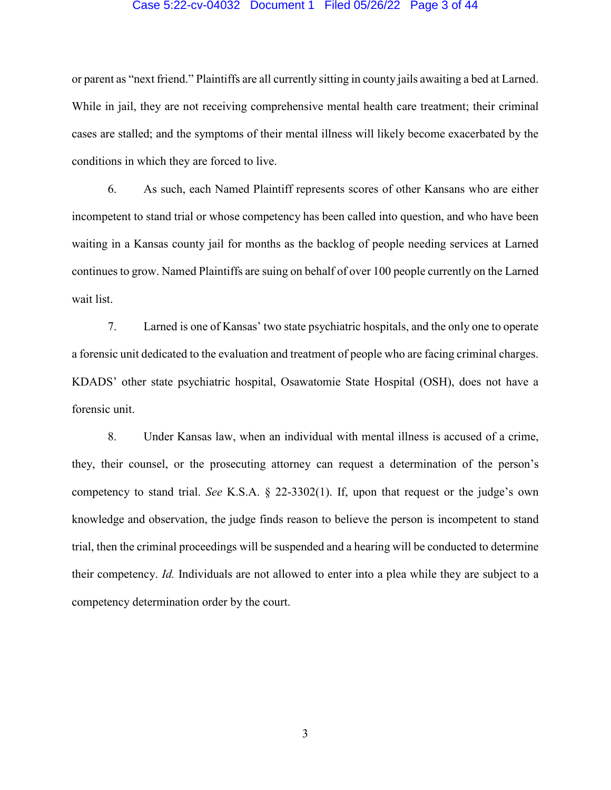#### Case 5:22-cv-04032 Document 1 Filed 05/26/22 Page 3 of 44

or parent as "next friend." Plaintiffs are all currently sitting in county jails awaiting a bed at Larned. While in jail, they are not receiving comprehensive mental health care treatment; their criminal cases are stalled; and the symptoms of their mental illness will likely become exacerbated by the conditions in which they are forced to live.

6. As such, each Named Plaintiff represents scores of other Kansans who are either incompetent to stand trial or whose competency has been called into question, and who have been waiting in a Kansas county jail for months as the backlog of people needing services at Larned continues to grow. Named Plaintiffs are suing on behalf of over 100 people currently on the Larned wait list.

7. Larned is one of Kansas' two state psychiatric hospitals, and the only one to operate a forensic unit dedicated to the evaluation and treatment of people who are facing criminal charges. KDADS' other state psychiatric hospital, Osawatomie State Hospital (OSH), does not have a forensic unit.

8. Under Kansas law, when an individual with mental illness is accused of a crime, they, their counsel, or the prosecuting attorney can request a determination of the person's competency to stand trial. *See* K.S.A. § 22-3302(1). If, upon that request or the judge's own knowledge and observation, the judge finds reason to believe the person is incompetent to stand trial, then the criminal proceedings will be suspended and a hearing will be conducted to determine their competency. *Id.* Individuals are not allowed to enter into a plea while they are subject to a competency determination order by the court.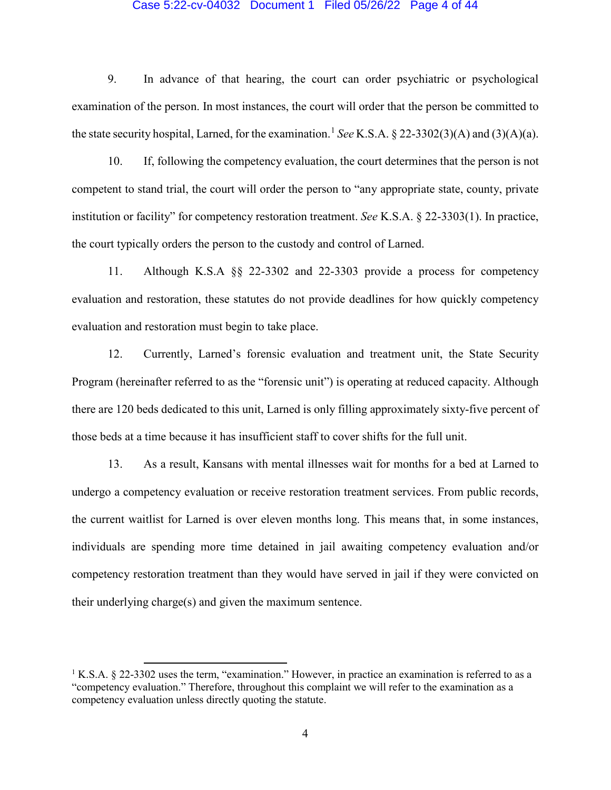### Case 5:22-cv-04032 Document 1 Filed 05/26/22 Page 4 of 44

9. In advance of that hearing, the court can order psychiatric or psychological examination of the person. In most instances, the court will order that the person be committed to the state security hospital, Larned, for the examination. [1](#page-3-0) *See* K.S.A. § 22-3302(3)(A) and (3)(A)(a).

10. If, following the competency evaluation, the court determines that the person is not competent to stand trial, the court will order the person to "any appropriate state, county, private institution or facility" for competency restoration treatment. *See* K.S.A. § 22-3303(1). In practice, the court typically orders the person to the custody and control of Larned.

11. Although K.S.A §§ 22-3302 and 22-3303 provide a process for competency evaluation and restoration, these statutes do not provide deadlines for how quickly competency evaluation and restoration must begin to take place.

12. Currently, Larned's forensic evaluation and treatment unit, the State Security Program (hereinafter referred to as the "forensic unit") is operating at reduced capacity. Although there are 120 beds dedicated to this unit, Larned is only filling approximately sixty-five percent of those beds at a time because it has insufficient staff to cover shifts for the full unit.

13. As a result, Kansans with mental illnesses wait for months for a bed at Larned to undergo a competency evaluation or receive restoration treatment services. From public records, the current waitlist for Larned is over eleven months long. This means that, in some instances, individuals are spending more time detained in jail awaiting competency evaluation and/or competency restoration treatment than they would have served in jail if they were convicted on their underlying charge(s) and given the maximum sentence.

 $\overline{\phantom{a}}$ 

<span id="page-3-0"></span><sup>&</sup>lt;sup>1</sup> K.S.A. § 22-3302 uses the term, "examination." However, in practice an examination is referred to as a "competency evaluation." Therefore, throughout this complaint we will refer to the examination as a competency evaluation unless directly quoting the statute.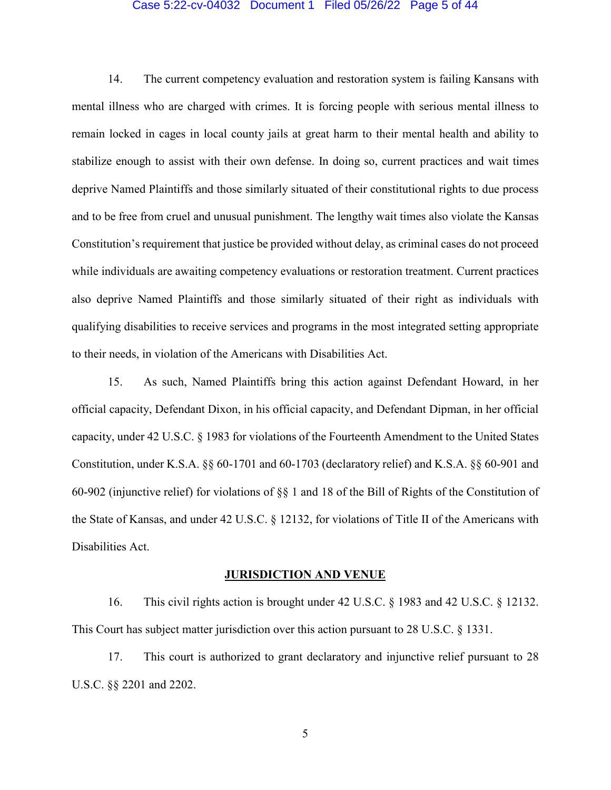#### Case 5:22-cv-04032 Document 1 Filed 05/26/22 Page 5 of 44

14. The current competency evaluation and restoration system is failing Kansans with mental illness who are charged with crimes. It is forcing people with serious mental illness to remain locked in cages in local county jails at great harm to their mental health and ability to stabilize enough to assist with their own defense. In doing so, current practices and wait times deprive Named Plaintiffs and those similarly situated of their constitutional rights to due process and to be free from cruel and unusual punishment. The lengthy wait times also violate the Kansas Constitution's requirement that justice be provided without delay, as criminal cases do not proceed while individuals are awaiting competency evaluations or restoration treatment. Current practices also deprive Named Plaintiffs and those similarly situated of their right as individuals with qualifying disabilities to receive services and programs in the most integrated setting appropriate to their needs, in violation of the Americans with Disabilities Act.

15. As such, Named Plaintiffs bring this action against Defendant Howard, in her official capacity, Defendant Dixon, in his official capacity, and Defendant Dipman, in her official capacity, under 42 U.S.C. § 1983 for violations of the Fourteenth Amendment to the United States Constitution, under K.S.A. §§ 60-1701 and 60-1703 (declaratory relief) and K.S.A. §§ 60-901 and 60-902 (injunctive relief) for violations of §§ 1 and 18 of the Bill of Rights of the Constitution of the State of Kansas, and under 42 U.S.C. § 12132, for violations of Title II of the Americans with Disabilities Act.

### **JURISDICTION AND VENUE**

16. This civil rights action is brought under 42 U.S.C. § 1983 and 42 U.S.C. § 12132. This Court has subject matter jurisdiction over this action pursuant to 28 U.S.C. § 1331.

17. This court is authorized to grant declaratory and injunctive relief pursuant to 28 U.S.C. §§ 2201 and 2202.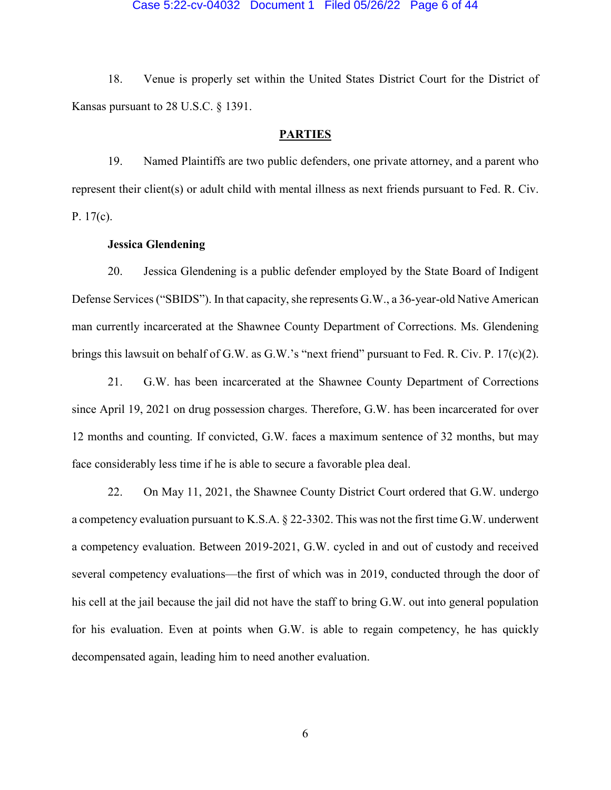#### Case 5:22-cv-04032 Document 1 Filed 05/26/22 Page 6 of 44

18. Venue is properly set within the United States District Court for the District of Kansas pursuant to 28 U.S.C. § 1391.

## **PARTIES**

19. Named Plaintiffs are two public defenders, one private attorney, and a parent who represent their client(s) or adult child with mental illness as next friends pursuant to Fed. R. Civ. P. 17(c).

## **Jessica Glendening**

20. Jessica Glendening is a public defender employed by the State Board of Indigent Defense Services ("SBIDS"). In that capacity, she represents G.W., a 36-year-old Native American man currently incarcerated at the Shawnee County Department of Corrections. Ms. Glendening brings this lawsuit on behalf of G.W. as G.W.'s "next friend" pursuant to Fed. R. Civ. P. 17(c)(2).

21. G.W. has been incarcerated at the Shawnee County Department of Corrections since April 19, 2021 on drug possession charges. Therefore, G.W. has been incarcerated for over 12 months and counting. If convicted, G.W. faces a maximum sentence of 32 months, but may face considerably less time if he is able to secure a favorable plea deal.

22. On May 11, 2021, the Shawnee County District Court ordered that G.W. undergo a competency evaluation pursuant to K.S.A. § 22-3302. This was not the first time G.W. underwent a competency evaluation. Between 2019-2021, G.W. cycled in and out of custody and received several competency evaluations—the first of which was in 2019, conducted through the door of his cell at the jail because the jail did not have the staff to bring G.W. out into general population for his evaluation. Even at points when G.W. is able to regain competency, he has quickly decompensated again, leading him to need another evaluation.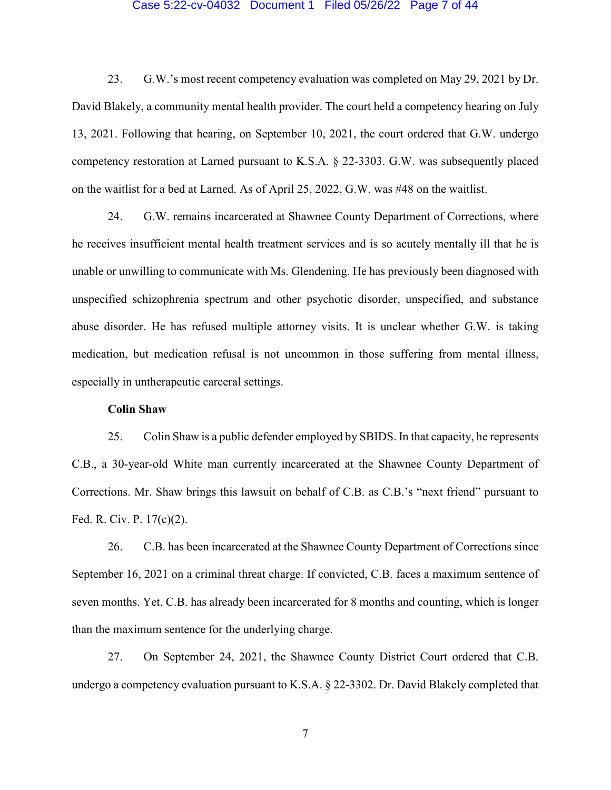#### Case 5:22-cv-04032 Document 1 Filed 05/26/22 Page 7 of 44

23. G.W.'s most recent competency evaluation was completed on May 29, 2021 by Dr. David Blakely, a community mental health provider. The court held a competency hearing on July 13, 2021. Following that hearing, on September 10, 2021, the court ordered that G.W. undergo competency restoration at Larned pursuant to K.S.A. § 22-3303. G.W. was subsequently placed on the waitlist for a bed at Larned. As of April 25, 2022, G.W. was #48 on the waitlist.

24. G.W. remains incarcerated at Shawnee County Department of Corrections, where he receives insufficient mental health treatment services and is so acutely mentally ill that he is unable or unwilling to communicate with Ms. Glendening. He has previously been diagnosed with unspecified schizophrenia spectrum and other psychotic disorder, unspecified, and substance abuse disorder. He has refused multiple attorney visits. It is unclear whether G.W. is taking medication, but medication refusal is not uncommon in those suffering from mental illness, especially in untherapeutic carceral settings.

## **Colin Shaw**

25. Colin Shaw is a public defender employed by SBIDS. In that capacity, he represents C.B., a 30-year-old White man currently incarcerated at the Shawnee County Department of Corrections. Mr. Shaw brings this lawsuit on behalf of C.B. as C.B.'s "next friend" pursuant to Fed. R. Civ. P. 17(c)(2).

26. C.B. has been incarcerated at the Shawnee County Department of Corrections since September 16, 2021 on a criminal threat charge. If convicted, C.B. faces a maximum sentence of seven months. Yet, C.B. has already been incarcerated for 8 months and counting, which is longer than the maximum sentence for the underlying charge.

27. On September 24, 2021, the Shawnee County District Court ordered that C.B. undergo a competency evaluation pursuant to K.S.A. § 22-3302. Dr. David Blakely completed that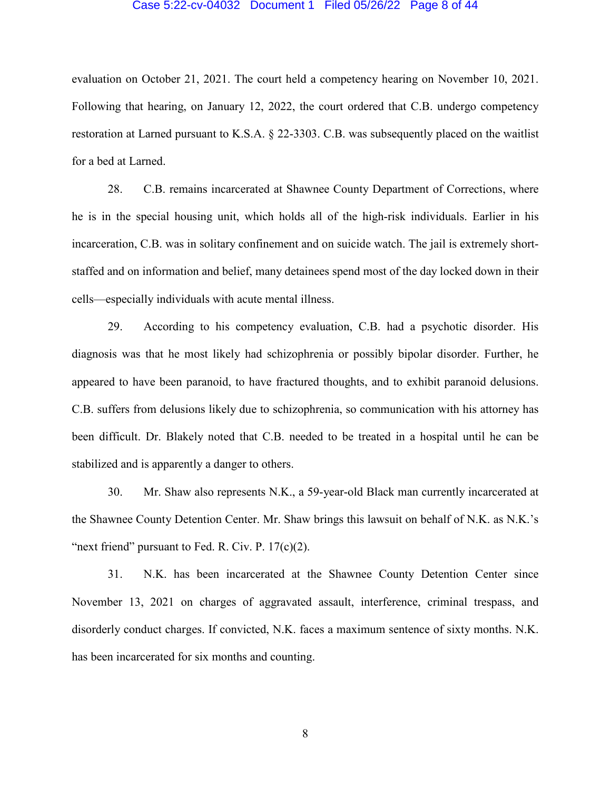#### Case 5:22-cv-04032 Document 1 Filed 05/26/22 Page 8 of 44

evaluation on October 21, 2021. The court held a competency hearing on November 10, 2021. Following that hearing, on January 12, 2022, the court ordered that C.B. undergo competency restoration at Larned pursuant to K.S.A. § 22-3303. C.B. was subsequently placed on the waitlist for a bed at Larned.

28. C.B. remains incarcerated at Shawnee County Department of Corrections, where he is in the special housing unit, which holds all of the high-risk individuals. Earlier in his incarceration, C.B. was in solitary confinement and on suicide watch. The jail is extremely shortstaffed and on information and belief, many detainees spend most of the day locked down in their cells—especially individuals with acute mental illness.

29. According to his competency evaluation, C.B. had a psychotic disorder. His diagnosis was that he most likely had schizophrenia or possibly bipolar disorder. Further, he appeared to have been paranoid, to have fractured thoughts, and to exhibit paranoid delusions. C.B. suffers from delusions likely due to schizophrenia, so communication with his attorney has been difficult. Dr. Blakely noted that C.B. needed to be treated in a hospital until he can be stabilized and is apparently a danger to others.

30. Mr. Shaw also represents N.K., a 59-year-old Black man currently incarcerated at the Shawnee County Detention Center. Mr. Shaw brings this lawsuit on behalf of N.K. as N.K.'s "next friend" pursuant to Fed. R. Civ. P.  $17(c)(2)$ .

31. N.K. has been incarcerated at the Shawnee County Detention Center since November 13, 2021 on charges of aggravated assault, interference, criminal trespass, and disorderly conduct charges. If convicted, N.K. faces a maximum sentence of sixty months. N.K. has been incarcerated for six months and counting.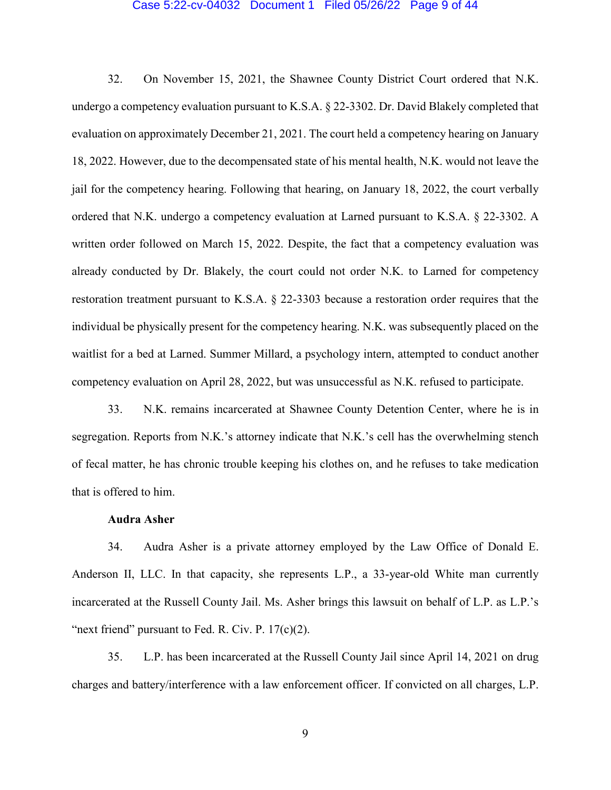#### Case 5:22-cv-04032 Document 1 Filed 05/26/22 Page 9 of 44

32. On November 15, 2021, the Shawnee County District Court ordered that N.K. undergo a competency evaluation pursuant to K.S.A. § 22-3302. Dr. David Blakely completed that evaluation on approximately December 21, 2021. The court held a competency hearing on January 18, 2022. However, due to the decompensated state of his mental health, N.K. would not leave the jail for the competency hearing. Following that hearing, on January 18, 2022, the court verbally ordered that N.K. undergo a competency evaluation at Larned pursuant to K.S.A. § 22-3302. A written order followed on March 15, 2022. Despite, the fact that a competency evaluation was already conducted by Dr. Blakely, the court could not order N.K. to Larned for competency restoration treatment pursuant to K.S.A. § 22-3303 because a restoration order requires that the individual be physically present for the competency hearing. N.K. was subsequently placed on the waitlist for a bed at Larned. Summer Millard, a psychology intern, attempted to conduct another competency evaluation on April 28, 2022, but was unsuccessful as N.K. refused to participate.

33. N.K. remains incarcerated at Shawnee County Detention Center, where he is in segregation. Reports from N.K.'s attorney indicate that N.K.'s cell has the overwhelming stench of fecal matter, he has chronic trouble keeping his clothes on, and he refuses to take medication that is offered to him.

## **Audra Asher**

34. Audra Asher is a private attorney employed by the Law Office of Donald E. Anderson II, LLC. In that capacity, she represents L.P., a 33-year-old White man currently incarcerated at the Russell County Jail. Ms. Asher brings this lawsuit on behalf of L.P. as L.P.'s "next friend" pursuant to Fed. R. Civ. P.  $17(c)(2)$ .

35. L.P. has been incarcerated at the Russell County Jail since April 14, 2021 on drug charges and battery/interference with a law enforcement officer. If convicted on all charges, L.P.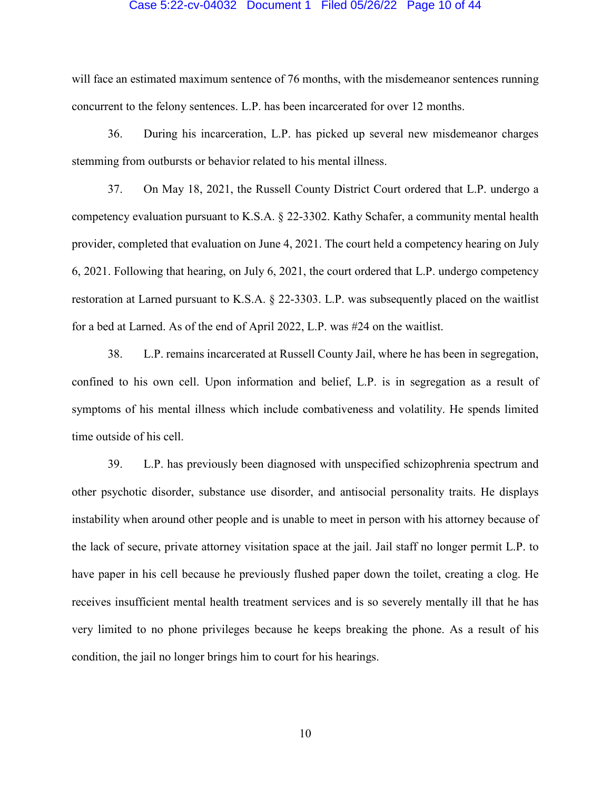#### Case 5:22-cv-04032 Document 1 Filed 05/26/22 Page 10 of 44

will face an estimated maximum sentence of 76 months, with the misdemeanor sentences running concurrent to the felony sentences. L.P. has been incarcerated for over 12 months.

36. During his incarceration, L.P. has picked up several new misdemeanor charges stemming from outbursts or behavior related to his mental illness.

37. On May 18, 2021, the Russell County District Court ordered that L.P. undergo a competency evaluation pursuant to K.S.A. § 22-3302. Kathy Schafer, a community mental health provider, completed that evaluation on June 4, 2021. The court held a competency hearing on July 6, 2021. Following that hearing, on July 6, 2021, the court ordered that L.P. undergo competency restoration at Larned pursuant to K.S.A. § 22-3303. L.P. was subsequently placed on the waitlist for a bed at Larned. As of the end of April 2022, L.P. was #24 on the waitlist.

38. L.P. remains incarcerated at Russell County Jail, where he has been in segregation, confined to his own cell. Upon information and belief, L.P. is in segregation as a result of symptoms of his mental illness which include combativeness and volatility. He spends limited time outside of his cell.

39. L.P. has previously been diagnosed with unspecified schizophrenia spectrum and other psychotic disorder, substance use disorder, and antisocial personality traits. He displays instability when around other people and is unable to meet in person with his attorney because of the lack of secure, private attorney visitation space at the jail. Jail staff no longer permit L.P. to have paper in his cell because he previously flushed paper down the toilet, creating a clog. He receives insufficient mental health treatment services and is so severely mentally ill that he has very limited to no phone privileges because he keeps breaking the phone. As a result of his condition, the jail no longer brings him to court for his hearings.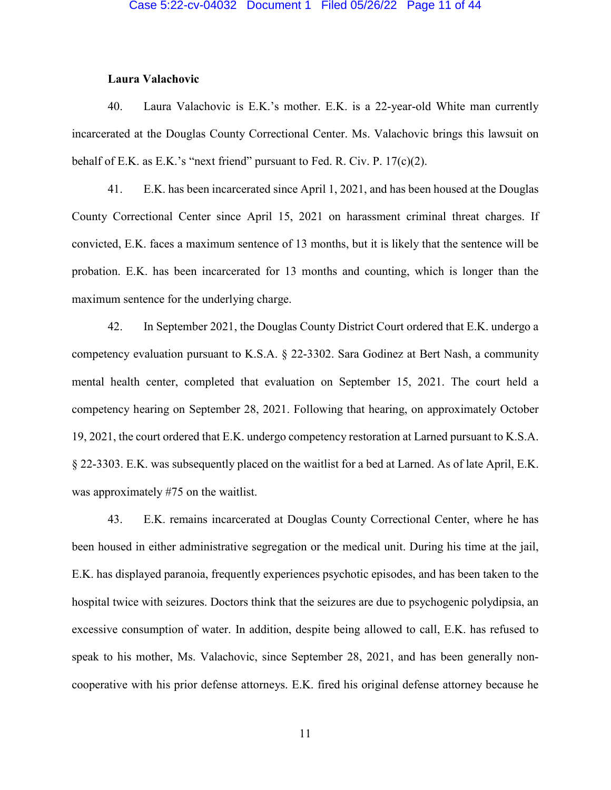## **Laura Valachovic**

40. Laura Valachovic is E.K.'s mother. E.K. is a 22-year-old White man currently incarcerated at the Douglas County Correctional Center. Ms. Valachovic brings this lawsuit on behalf of E.K. as E.K.'s "next friend" pursuant to Fed. R. Civ. P. 17(c)(2).

41. E.K. has been incarcerated since April 1, 2021, and has been housed at the Douglas County Correctional Center since April 15, 2021 on harassment criminal threat charges. If convicted, E.K. faces a maximum sentence of 13 months, but it is likely that the sentence will be probation. E.K. has been incarcerated for 13 months and counting, which is longer than the maximum sentence for the underlying charge.

42. In September 2021, the Douglas County District Court ordered that E.K. undergo a competency evaluation pursuant to K.S.A. § 22-3302. Sara Godinez at Bert Nash, a community mental health center, completed that evaluation on September 15, 2021. The court held a competency hearing on September 28, 2021. Following that hearing, on approximately October 19, 2021, the court ordered that E.K. undergo competency restoration at Larned pursuant to K.S.A. § 22-3303. E.K. was subsequently placed on the waitlist for a bed at Larned. As of late April, E.K. was approximately #75 on the waitlist.

43. E.K. remains incarcerated at Douglas County Correctional Center, where he has been housed in either administrative segregation or the medical unit. During his time at the jail, E.K. has displayed paranoia, frequently experiences psychotic episodes, and has been taken to the hospital twice with seizures. Doctors think that the seizures are due to psychogenic polydipsia, an excessive consumption of water. In addition, despite being allowed to call, E.K. has refused to speak to his mother, Ms. Valachovic, since September 28, 2021, and has been generally noncooperative with his prior defense attorneys. E.K. fired his original defense attorney because he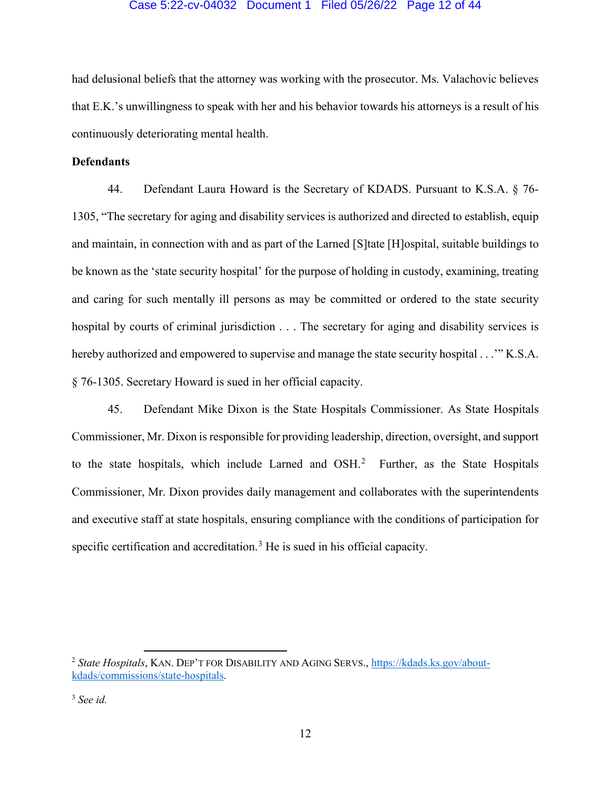## Case 5:22-cv-04032 Document 1 Filed 05/26/22 Page 12 of 44

had delusional beliefs that the attorney was working with the prosecutor. Ms. Valachovic believes that E.K.'s unwillingness to speak with her and his behavior towards his attorneys is a result of his continuously deteriorating mental health.

# **Defendants**

44. Defendant Laura Howard is the Secretary of KDADS. Pursuant to K.S.A. § 76- 1305, "The secretary for aging and disability services is authorized and directed to establish, equip and maintain, in connection with and as part of the Larned [S]tate [H]ospital, suitable buildings to be known as the 'state security hospital' for the purpose of holding in custody, examining, treating and caring for such mentally ill persons as may be committed or ordered to the state security hospital by courts of criminal jurisdiction . . . The secretary for aging and disability services is hereby authorized and empowered to supervise and manage the state security hospital . . . "K.S.A. § 76-1305. Secretary Howard is sued in her official capacity.

45. Defendant Mike Dixon is the State Hospitals Commissioner. As State Hospitals Commissioner, Mr. Dixon is responsible for providing leadership, direction, oversight, and support to the state hospitals, which include Larned and  $OSH<sup>2</sup>$  $OSH<sup>2</sup>$  $OSH<sup>2</sup>$  Further, as the State Hospitals Commissioner, Mr. Dixon provides daily management and collaborates with the superintendents and executive staff at state hospitals, ensuring compliance with the conditions of participation for specific certification and accreditation.<sup>[3](#page-11-1)</sup> He is sued in his official capacity.

 $\overline{\phantom{a}}$ 

<span id="page-11-0"></span><sup>2</sup> *State Hospitals*, KAN. DEP'T FOR DISABILITY AND AGING SERVS., [https://kdads.ks.gov/about](https://kdads.ks.gov/about-kdads/commissions/state-hospitals)[kdads/commissions/state-hospitals.](https://kdads.ks.gov/about-kdads/commissions/state-hospitals)

<span id="page-11-1"></span><sup>3</sup> *See id.*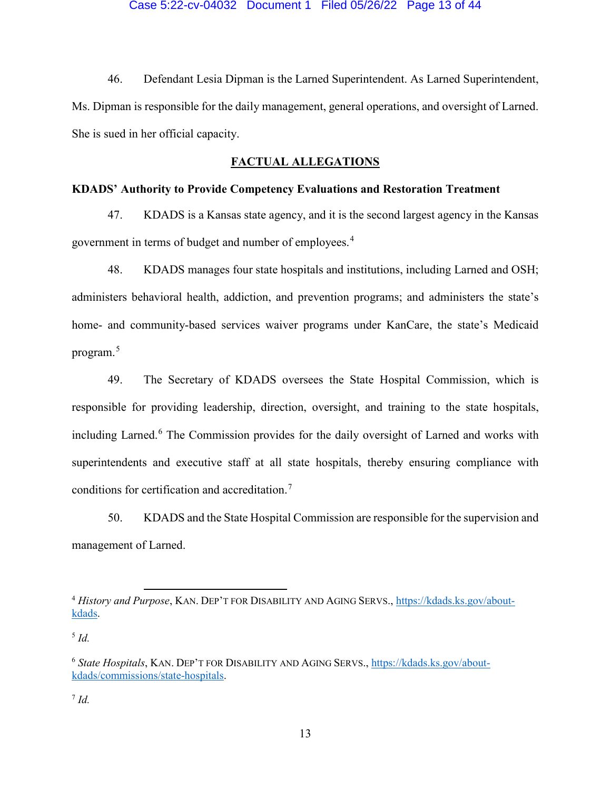46. Defendant Lesia Dipman is the Larned Superintendent. As Larned Superintendent, Ms. Dipman is responsible for the daily management, general operations, and oversight of Larned. She is sued in her official capacity.

## **FACTUAL ALLEGATIONS**

# **KDADS' Authority to Provide Competency Evaluations and Restoration Treatment**

47. KDADS is a Kansas state agency, and it is the second largest agency in the Kansas government in terms of budget and number of employees.[4](#page-12-0)

48. KDADS manages four state hospitals and institutions, including Larned and OSH; administers behavioral health, addiction, and prevention programs; and administers the state's home- and community-based services waiver programs under KanCare, the state's Medicaid program.<sup>[5](#page-12-1)</sup>

49. The Secretary of KDADS oversees the State Hospital Commission, which is responsible for providing leadership, direction, oversight, and training to the state hospitals, including Larned. [6](#page-12-2) The Commission provides for the daily oversight of Larned and works with superintendents and executive staff at all state hospitals, thereby ensuring compliance with conditions for certification and accreditation.<sup>[7](#page-12-3)</sup>

50. KDADS and the State Hospital Commission are responsible for the supervision and management of Larned.

 $\overline{\phantom{a}}$ 

<span id="page-12-3"></span> $^7$  *Id.* 

<span id="page-12-0"></span><sup>4</sup> *History and Purpose*, KAN. DEP'T FOR DISABILITY AND AGING SERVS., [https://kdads.ks.gov/about](https://kdads.ks.gov/about-kdads)[kdads.](https://kdads.ks.gov/about-kdads)

<span id="page-12-1"></span><sup>5</sup> *Id.*

<span id="page-12-2"></span><sup>6</sup> *State Hospitals*, KAN. DEP'T FOR DISABILITY AND AGING SERVS., [https://kdads.ks.gov/about](https://kdads.ks.gov/about-kdads/commissions/state-hospitals)[kdads/commissions/state-hospitals.](https://kdads.ks.gov/about-kdads/commissions/state-hospitals)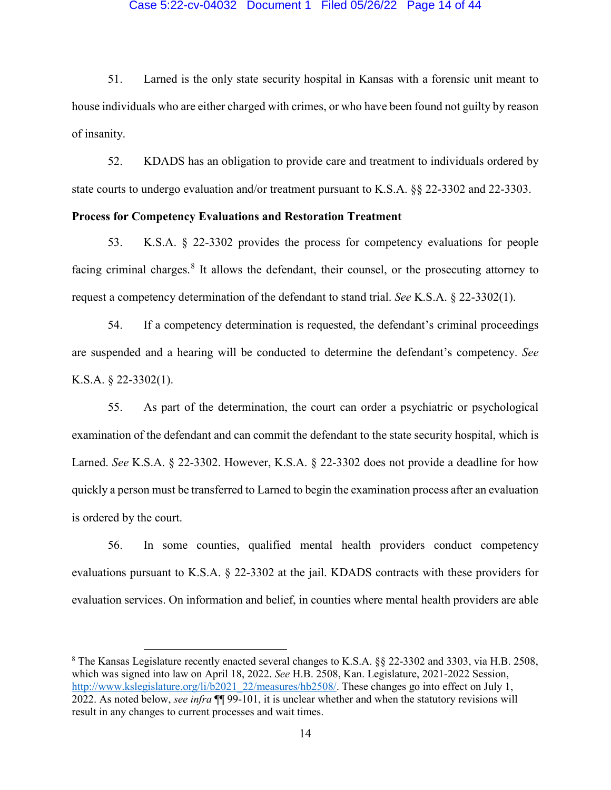### Case 5:22-cv-04032 Document 1 Filed 05/26/22 Page 14 of 44

51. Larned is the only state security hospital in Kansas with a forensic unit meant to house individuals who are either charged with crimes, or who have been found not guilty by reason of insanity.

52. KDADS has an obligation to provide care and treatment to individuals ordered by state courts to undergo evaluation and/or treatment pursuant to K.S.A. §§ 22-3302 and 22-3303.

# **Process for Competency Evaluations and Restoration Treatment**

53. K.S.A. § 22-3302 provides the process for competency evaluations for people facing criminal charges.<sup>[8](#page-13-0)</sup> It allows the defendant, their counsel, or the prosecuting attorney to request a competency determination of the defendant to stand trial. *See* K.S.A. § 22-3302(1).

54. If a competency determination is requested, the defendant's criminal proceedings are suspended and a hearing will be conducted to determine the defendant's competency. *See* K.S.A. § 22-3302(1).

55. As part of the determination, the court can order a psychiatric or psychological examination of the defendant and can commit the defendant to the state security hospital, which is Larned. *See* K.S.A. § 22-3302. However, K.S.A. § 22-3302 does not provide a deadline for how quickly a person must be transferred to Larned to begin the examination process after an evaluation is ordered by the court.

56. In some counties, qualified mental health providers conduct competency evaluations pursuant to K.S.A. § 22-3302 at the jail. KDADS contracts with these providers for evaluation services. On information and belief, in counties where mental health providers are able

l

<span id="page-13-0"></span><sup>8</sup> The Kansas Legislature recently enacted several changes to K.S.A. §§ 22-3302 and 3303, via H.B. 2508, which was signed into law on April 18, 2022. *See* H.B. 2508, Kan. Legislature, 2021-2022 Session, [http://www.kslegislature.org/li/b2021\\_22/measures/hb2508/.](http://www.kslegislature.org/li/b2021_22/measures/hb2508/) These changes go into effect on July 1, 2022. As noted below, *see infra* ¶¶ 99-101, it is unclear whether and when the statutory revisions will result in any changes to current processes and wait times.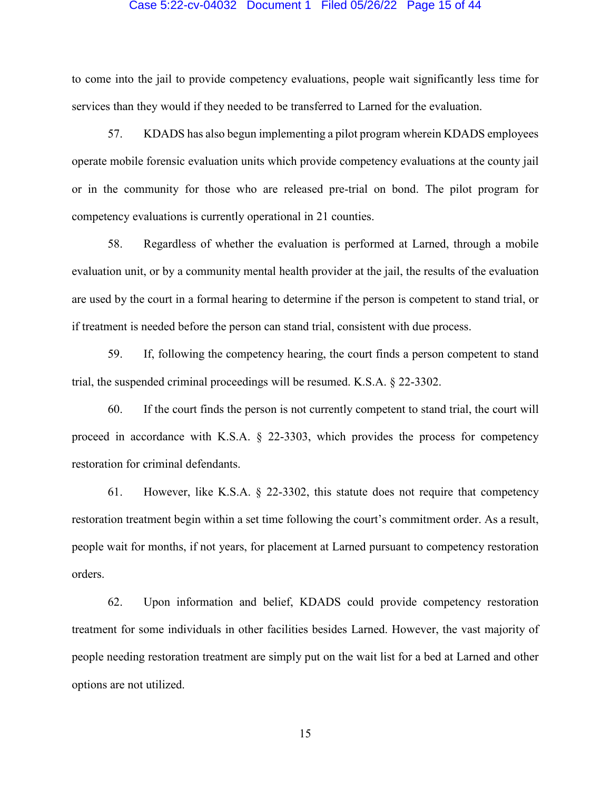## Case 5:22-cv-04032 Document 1 Filed 05/26/22 Page 15 of 44

to come into the jail to provide competency evaluations, people wait significantly less time for services than they would if they needed to be transferred to Larned for the evaluation.

57. KDADS has also begun implementing a pilot program wherein KDADS employees operate mobile forensic evaluation units which provide competency evaluations at the county jail or in the community for those who are released pre-trial on bond. The pilot program for competency evaluations is currently operational in 21 counties.

58. Regardless of whether the evaluation is performed at Larned, through a mobile evaluation unit, or by a community mental health provider at the jail, the results of the evaluation are used by the court in a formal hearing to determine if the person is competent to stand trial, or if treatment is needed before the person can stand trial, consistent with due process.

59. If, following the competency hearing, the court finds a person competent to stand trial, the suspended criminal proceedings will be resumed. K.S.A. § 22-3302.

60. If the court finds the person is not currently competent to stand trial, the court will proceed in accordance with K.S.A. § 22-3303, which provides the process for competency restoration for criminal defendants.

61. However, like K.S.A. § 22-3302, this statute does not require that competency restoration treatment begin within a set time following the court's commitment order. As a result, people wait for months, if not years, for placement at Larned pursuant to competency restoration orders.

62. Upon information and belief, KDADS could provide competency restoration treatment for some individuals in other facilities besides Larned. However, the vast majority of people needing restoration treatment are simply put on the wait list for a bed at Larned and other options are not utilized.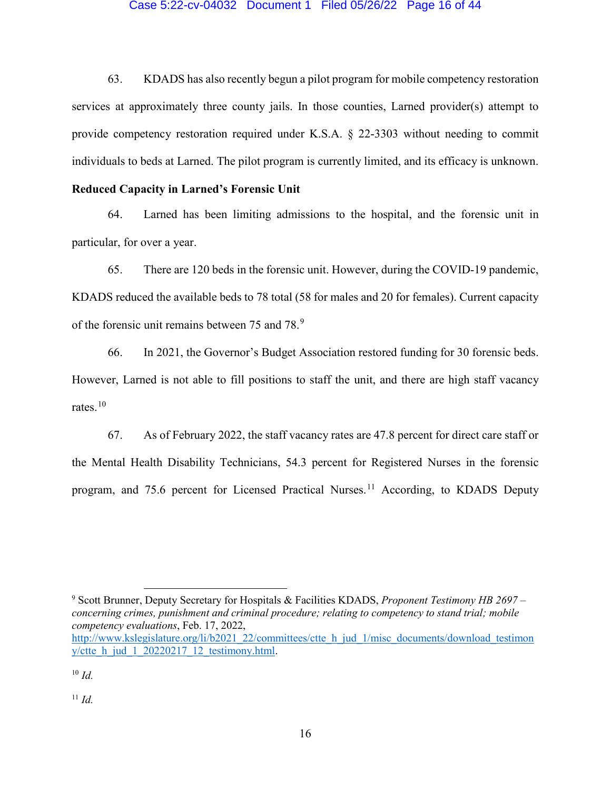### Case 5:22-cv-04032 Document 1 Filed 05/26/22 Page 16 of 44

63. KDADS has also recently begun a pilot program for mobile competency restoration services at approximately three county jails. In those counties, Larned provider(s) attempt to provide competency restoration required under K.S.A. § 22-3303 without needing to commit individuals to beds at Larned. The pilot program is currently limited, and its efficacy is unknown.

# **Reduced Capacity in Larned's Forensic Unit**

64. Larned has been limiting admissions to the hospital, and the forensic unit in particular, for over a year.

65. There are 120 beds in the forensic unit. However, during the COVID-19 pandemic, KDADS reduced the available beds to 78 total (58 for males and 20 for females). Current capacity of the forensic unit remains between 75 and 78.<sup>[9](#page-15-0)</sup>

66. In 2021, the Governor's Budget Association restored funding for 30 forensic beds. However, Larned is not able to fill positions to staff the unit, and there are high staff vacancy rates.<sup>[10](#page-15-1)</sup>

67. As of February 2022, the staff vacancy rates are 47.8 percent for direct care staff or the Mental Health Disability Technicians, 54.3 percent for Registered Nurses in the forensic program, and 75.6 percent for Licensed Practical Nurses.<sup>[11](#page-15-2)</sup> According, to KDADS Deputy

<span id="page-15-0"></span><sup>9</sup> Scott Brunner, Deputy Secretary for Hospitals & Facilities KDADS, *Proponent Testimony HB 2697 – concerning crimes, punishment and criminal procedure; relating to competency to stand trial; mobile competency evaluations*, Feb. 17, 2022,

 $\overline{\phantom{a}}$ 

<span id="page-15-2"></span> $11$  *Id.* 

[http://www.kslegislature.org/li/b2021\\_22/committees/ctte\\_h\\_jud\\_1/misc\\_documents/download\\_testimon](http://www.kslegislature.org/li/b2021_22/committees/ctte_h_jud_1/misc_documents/download_testimony/ctte_h_jud_1_20220217_12_testimony.html) y/ctte  $h$  jud 1 20220217 12 testimony.html.

<span id="page-15-1"></span><sup>10</sup> *Id.*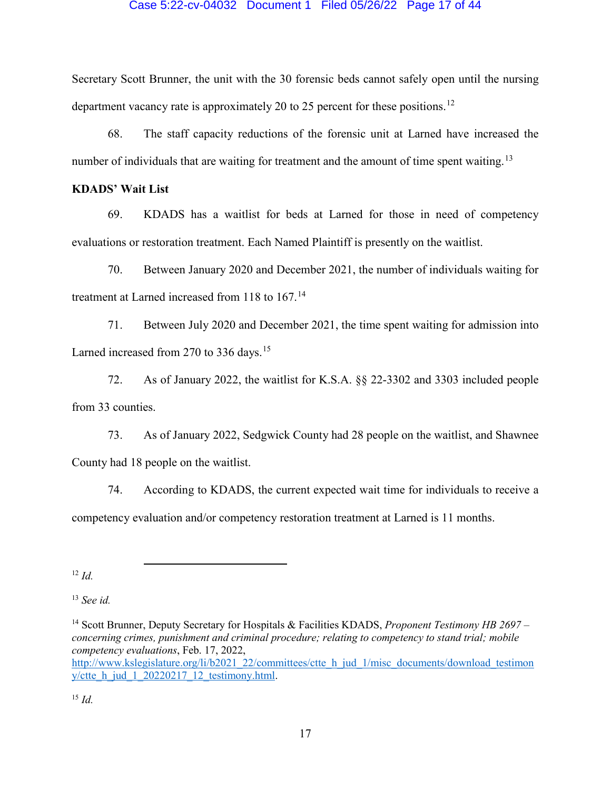### Case 5:22-cv-04032 Document 1 Filed 05/26/22 Page 17 of 44

Secretary Scott Brunner, the unit with the 30 forensic beds cannot safely open until the nursing department vacancy rate is approximately 20 to 25 percent for these positions.<sup>12</sup>

68. The staff capacity reductions of the forensic unit at Larned have increased the number of individuals that are waiting for treatment and the amount of time spent waiting.<sup>[13](#page-16-1)</sup>

# **KDADS' Wait List**

69. KDADS has a waitlist for beds at Larned for those in need of competency evaluations or restoration treatment. Each Named Plaintiff is presently on the waitlist.

70. Between January 2020 and December 2021, the number of individuals waiting for treatment at Larned increased from 118 to 167.<sup>[14](#page-16-2)</sup>

71. Between July 2020 and December 2021, the time spent waiting for admission into Larned increased from 270 to 336 days.<sup>[15](#page-16-3)</sup>

72. As of January 2022, the waitlist for K.S.A. §§ 22-3302 and 3303 included people from 33 counties.

73. As of January 2022, Sedgwick County had 28 people on the waitlist, and Shawnee County had 18 people on the waitlist.

74. According to KDADS, the current expected wait time for individuals to receive a competency evaluation and/or competency restoration treatment at Larned is 11 months.

<span id="page-16-0"></span> $12 \, Id.$ 

<span id="page-16-1"></span><sup>13</sup> *See id.*

l

<span id="page-16-3"></span><sup>15</sup> *Id.*

<span id="page-16-2"></span><sup>14</sup> Scott Brunner, Deputy Secretary for Hospitals & Facilities KDADS, *Proponent Testimony HB 2697 – concerning crimes, punishment and criminal procedure; relating to competency to stand trial; mobile competency evaluations*, Feb. 17, 2022, [http://www.kslegislature.org/li/b2021\\_22/committees/ctte\\_h\\_jud\\_1/misc\\_documents/download\\_testimon](http://www.kslegislature.org/li/b2021_22/committees/ctte_h_jud_1/misc_documents/download_testimony/ctte_h_jud_1_20220217_12_testimony.html) y/ctte  $h$  jud  $1$  20220217 12 testimony.html.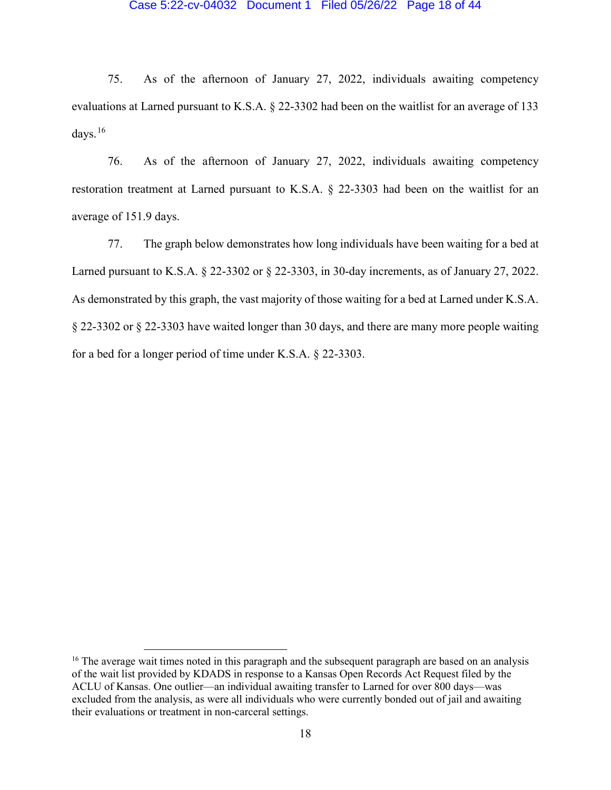### Case 5:22-cv-04032 Document 1 Filed 05/26/22 Page 18 of 44

75. As of the afternoon of January 27, 2022, individuals awaiting competency evaluations at Larned pursuant to K.S.A. § 22-3302 had been on the waitlist for an average of 133 days. $16$ 

76. As of the afternoon of January 27, 2022, individuals awaiting competency restoration treatment at Larned pursuant to K.S.A. § 22-3303 had been on the waitlist for an average of 151.9 days.

77. The graph below demonstrates how long individuals have been waiting for a bed at Larned pursuant to K.S.A. § 22-3302 or § 22-3303, in 30-day increments, as of January 27, 2022. As demonstrated by this graph, the vast majority of those waiting for a bed at Larned under K.S.A. § 22-3302 or § 22-3303 have waited longer than 30 days, and there are many more people waiting for a bed for a longer period of time under K.S.A. § 22-3303.

l

<span id="page-17-0"></span><sup>&</sup>lt;sup>16</sup> The average wait times noted in this paragraph and the subsequent paragraph are based on an analysis of the wait list provided by KDADS in response to a Kansas Open Records Act Request filed by the ACLU of Kansas. One outlier—an individual awaiting transfer to Larned for over 800 days—was excluded from the analysis, as were all individuals who were currently bonded out of jail and awaiting their evaluations or treatment in non-carceral settings.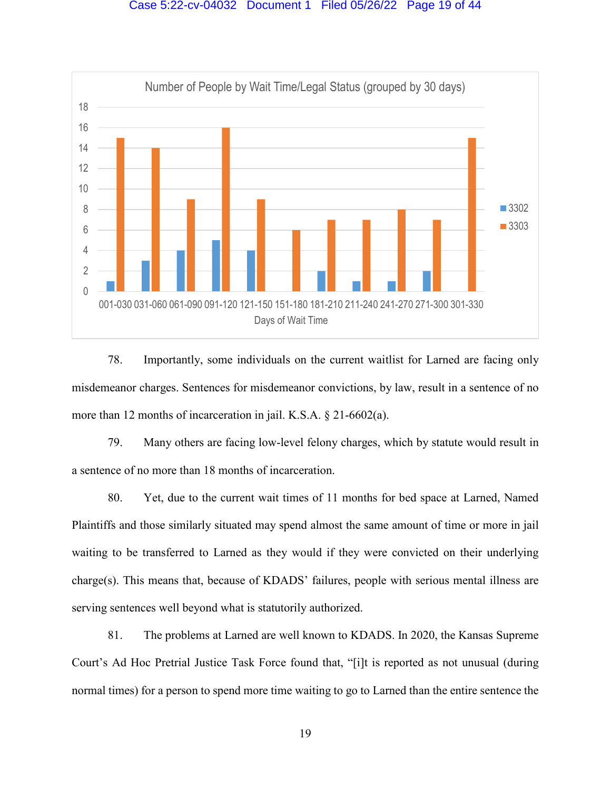

78. Importantly, some individuals on the current waitlist for Larned are facing only misdemeanor charges. Sentences for misdemeanor convictions, by law, result in a sentence of no more than 12 months of incarceration in jail. K.S.A. § 21-6602(a).

79. Many others are facing low-level felony charges, which by statute would result in a sentence of no more than 18 months of incarceration.

80. Yet, due to the current wait times of 11 months for bed space at Larned, Named Plaintiffs and those similarly situated may spend almost the same amount of time or more in jail waiting to be transferred to Larned as they would if they were convicted on their underlying charge(s). This means that, because of KDADS' failures, people with serious mental illness are serving sentences well beyond what is statutorily authorized.

81. The problems at Larned are well known to KDADS. In 2020, the Kansas Supreme Court's Ad Hoc Pretrial Justice Task Force found that, "[i]t is reported as not unusual (during normal times) for a person to spend more time waiting to go to Larned than the entire sentence the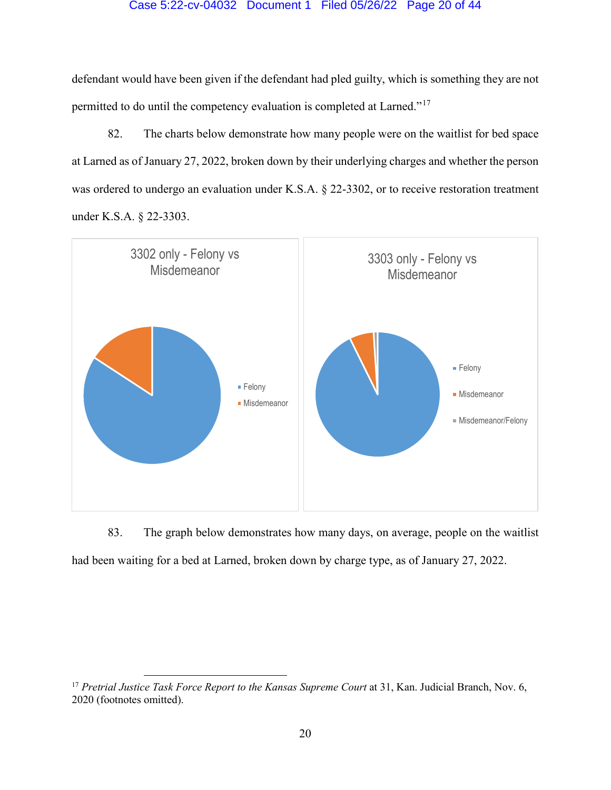### Case 5:22-cv-04032 Document 1 Filed 05/26/22 Page 20 of 44

defendant would have been given if the defendant had pled guilty, which is something they are not permitted to do until the competency evaluation is completed at Larned."[17](#page-19-0)

82. The charts below demonstrate how many people were on the waitlist for bed space at Larned as of January 27, 2022, broken down by their underlying charges and whether the person was ordered to undergo an evaluation under K.S.A. § 22-3302, or to receive restoration treatment under K.S.A. § 22-3303.



83. The graph below demonstrates how many days, on average, people on the waitlist had been waiting for a bed at Larned, broken down by charge type, as of January 27, 2022.

l

<span id="page-19-0"></span><sup>&</sup>lt;sup>17</sup> Pretrial Justice Task Force Report to the Kansas Supreme Court at 31, Kan. Judicial Branch, Nov. 6, 2020 (footnotes omitted).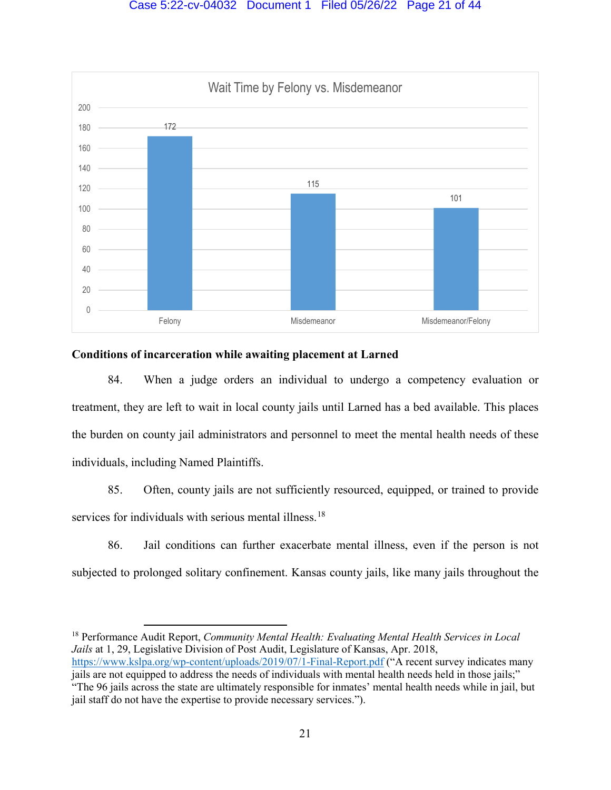

# **Conditions of incarceration while awaiting placement at Larned**

84. When a judge orders an individual to undergo a competency evaluation or treatment, they are left to wait in local county jails until Larned has a bed available. This places the burden on county jail administrators and personnel to meet the mental health needs of these individuals, including Named Plaintiffs.

85. Often, county jails are not sufficiently resourced, equipped, or trained to provide services for individuals with serious mental illness.<sup>[18](#page-20-0)</sup>

86. Jail conditions can further exacerbate mental illness, even if the person is not subjected to prolonged solitary confinement. Kansas county jails, like many jails throughout the

<span id="page-20-0"></span> $\overline{\phantom{a}}$ <sup>18</sup> Performance Audit Report, *Community Mental Health: Evaluating Mental Health Services in Local Jails* at 1, 29, Legislative Division of Post Audit, Legislature of Kansas, Apr. 2018,

<https://www.kslpa.org/wp-content/uploads/2019/07/1-Final-Report.pdf> ("A recent survey indicates many jails are not equipped to address the needs of individuals with mental health needs held in those jails;" "The 96 jails across the state are ultimately responsible for inmates' mental health needs while in jail, but jail staff do not have the expertise to provide necessary services.").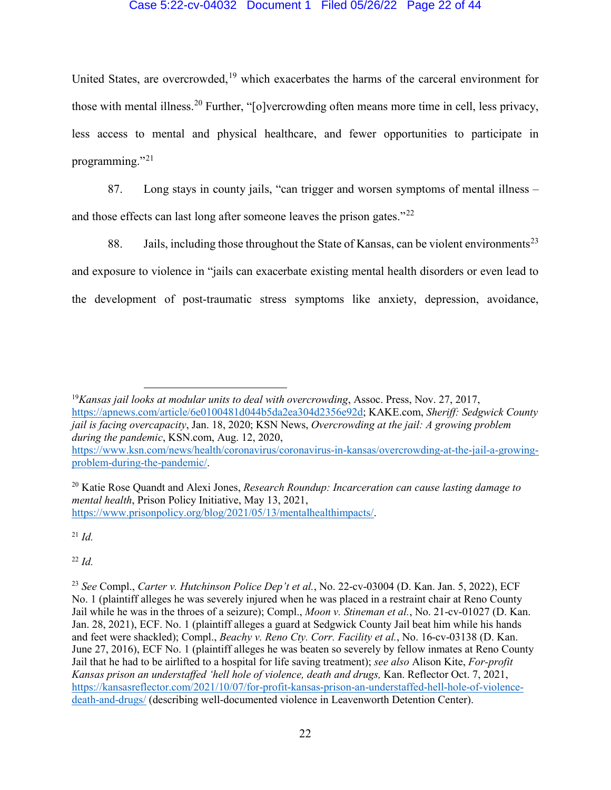## Case 5:22-cv-04032 Document 1 Filed 05/26/22 Page 22 of 44

United States, are overcrowded,<sup>[19](#page-21-0)</sup> which exacerbates the harms of the carceral environment for those with mental illness.<sup>[20](#page-21-1)</sup> Further, "[o]vercrowding often means more time in cell, less privacy, less access to mental and physical healthcare, and fewer opportunities to participate in programming."[21](#page-21-2)

87. Long stays in county jails, "can trigger and worsen symptoms of mental illness – and those effects can last long after someone leaves the prison gates."<sup>[22](#page-21-3)</sup>

88. Jails, including those throughout the State of Kansas, can be violent environments<sup>[23](#page-21-4)</sup> and exposure to violence in "jails can exacerbate existing mental health disorders or even lead to the development of post-traumatic stress symptoms like anxiety, depression, avoidance,

<span id="page-21-0"></span><sup>19</sup>*Kansas jail looks at modular units to deal with overcrowding*, Assoc. Press, Nov. 27, 2017, [https://apnews.com/article/6e0100481d044b5da2ea304d2356e92d;](https://apnews.com/article/6e0100481d044b5da2ea304d2356e92d) KAKE.com, *Sheriff: Sedgwick County jail is facing overcapacity*, Jan. 18, 2020; KSN News, *Overcrowding at the jail: A growing problem during the pandemic*, KSN.com, Aug. 12, 2020, [https://www.ksn.com/news/health/coronavirus/coronavirus-in-kansas/overcrowding-at-the-jail-a-growing](https://www.ksn.com/news/health/coronavirus/coronavirus-in-kansas/overcrowding-at-the-jail-a-growing-problem-during-the-pandemic/)[problem-during-the-pandemic/.](https://www.ksn.com/news/health/coronavirus/coronavirus-in-kansas/overcrowding-at-the-jail-a-growing-problem-during-the-pandemic/)

<span id="page-21-1"></span><sup>20</sup> Katie Rose Quandt and Alexi Jones, *Research Roundup: Incarceration can cause lasting damage to mental health*, Prison Policy Initiative, May 13, 2021, [https://www.prisonpolicy.org/blog/2021/05/13/mentalhealthimpacts/.](https://www.prisonpolicy.org/blog/2021/05/13/mentalhealthimpacts/)

<span id="page-21-2"></span> $^{21}$  *Id.* 

l

<span id="page-21-3"></span><sup>22</sup> *Id.*

<span id="page-21-4"></span><sup>23</sup> *See* Compl., *Carter v. Hutchinson Police Dep't et al.*, No. 22-cv-03004 (D. Kan. Jan. 5, 2022), ECF No. 1 (plaintiff alleges he was severely injured when he was placed in a restraint chair at Reno County Jail while he was in the throes of a seizure); Compl., *Moon v. Stineman et al.*, No. 21-cv-01027 (D. Kan. Jan. 28, 2021), ECF. No. 1 (plaintiff alleges a guard at Sedgwick County Jail beat him while his hands and feet were shackled); Compl., *Beachy v. Reno Cty. Corr. Facility et al.*, No. 16-cv-03138 (D. Kan. June 27, 2016), ECF No. 1 (plaintiff alleges he was beaten so severely by fellow inmates at Reno County Jail that he had to be airlifted to a hospital for life saving treatment); *see also* Alison Kite, *For-profit Kansas prison an understaffed 'hell hole of violence, death and drugs,* Kan. Reflector Oct. 7, 2021, [https://kansasreflector.com/2021/10/07/for-profit-kansas-prison-an-understaffed-hell-hole-of-violence](https://kansasreflector.com/2021/10/07/for-profit-kansas-prison-an-understaffed-hell-hole-of-violence-death-and-drugs/)[death-and-drugs/](https://kansasreflector.com/2021/10/07/for-profit-kansas-prison-an-understaffed-hell-hole-of-violence-death-and-drugs/) (describing well-documented violence in Leavenworth Detention Center).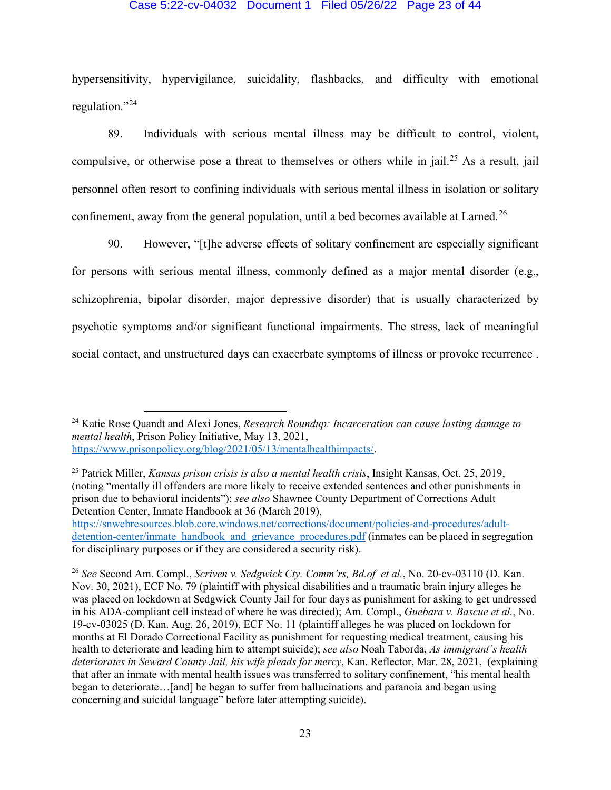### Case 5:22-cv-04032 Document 1 Filed 05/26/22 Page 23 of 44

hypersensitivity, hypervigilance, suicidality, flashbacks, and difficulty with emotional regulation."<sup>[24](#page-22-0)</sup>

89. Individuals with serious mental illness may be difficult to control, violent, compulsive, or otherwise pose a threat to themselves or others while in jail.<sup>[25](#page-22-1)</sup> As a result, jail personnel often resort to confining individuals with serious mental illness in isolation or solitary confinement, away from the general population, until a bed becomes available at Larned.<sup>[26](#page-22-2)</sup>

90. However, "[t]he adverse effects of solitary confinement are especially significant for persons with serious mental illness, commonly defined as a major mental disorder (e.g., schizophrenia, bipolar disorder, major depressive disorder) that is usually characterized by psychotic symptoms and/or significant functional impairments. The stress, lack of meaningful social contact, and unstructured days can exacerbate symptoms of illness or provoke recurrence .

l

<span id="page-22-1"></span><sup>25</sup> Patrick Miller, *Kansas prison crisis is also a mental health crisis*, Insight Kansas, Oct. 25, 2019, (noting "mentally ill offenders are more likely to receive extended sentences and other punishments in prison due to behavioral incidents"); *see also* Shawnee County Department of Corrections Adult Detention Center, Inmate Handbook at 36 (March 2019),

<span id="page-22-0"></span><sup>24</sup> Katie Rose Quandt and Alexi Jones, *Research Roundup: Incarceration can cause lasting damage to mental health*, Prison Policy Initiative, May 13, 2021, [https://www.prisonpolicy.org/blog/2021/05/13/mentalhealthimpacts/.](https://www.prisonpolicy.org/blog/2021/05/13/mentalhealthimpacts/)

[https://snwebresources.blob.core.windows.net/corrections/document/policies-and-procedures/adult](https://snwebresources.blob.core.windows.net/corrections/document/policies-and-procedures/adult-detention-center/inmate_handbook_and_grievance_procedures.pdf)detention-center/inmate handbook and grievance procedures.pdf (inmates can be placed in segregation for disciplinary purposes or if they are considered a security risk).

<span id="page-22-2"></span><sup>26</sup> *See* Second Am. Compl., *Scriven v. Sedgwick Cty. Comm'rs, Bd.of et al.*, No. 20-cv-03110 (D. Kan. Nov. 30, 2021), ECF No. 79 (plaintiff with physical disabilities and a traumatic brain injury alleges he was placed on lockdown at Sedgwick County Jail for four days as punishment for asking to get undressed in his ADA-compliant cell instead of where he was directed); Am. Compl., *Guebara v. Bascue et al.*, No. 19-cv-03025 (D. Kan. Aug. 26, 2019), ECF No. 11 (plaintiff alleges he was placed on lockdown for months at El Dorado Correctional Facility as punishment for requesting medical treatment, causing his health to deteriorate and leading him to attempt suicide); *see also* Noah Taborda, *As immigrant's health deteriorates in Seward County Jail, his wife pleads for mercy*, Kan. Reflector, Mar. 28, 2021, (explaining that after an inmate with mental health issues was transferred to solitary confinement, "his mental health began to deteriorate…[and] he began to suffer from hallucinations and paranoia and began using concerning and suicidal language" before later attempting suicide).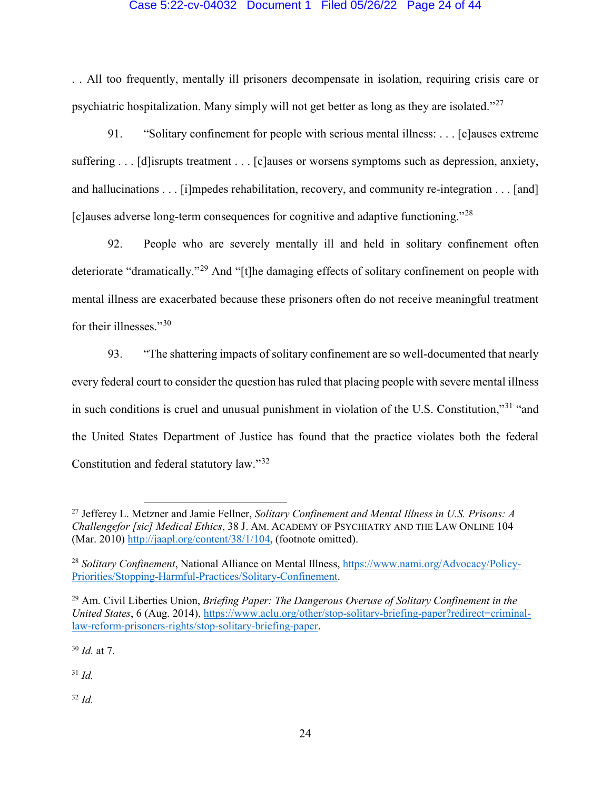## Case 5:22-cv-04032 Document 1 Filed 05/26/22 Page 24 of 44

. . All too frequently, mentally ill prisoners decompensate in isolation, requiring crisis care or psychiatric hospitalization. Many simply will not get better as long as they are isolated."[27](#page-23-0) 

91. "Solitary confinement for people with serious mental illness: . . . [c]auses extreme suffering . . . [d] isrupts treatment . . . [c] auses or worsens symptoms such as depression, anxiety, and hallucinations . . . [i]mpedes rehabilitation, recovery, and community re-integration . . . [and] [c]auses adverse long-term consequences for cognitive and adaptive functioning."[28](#page-23-1)

92. People who are severely mentally ill and held in solitary confinement often deteriorate "dramatically."[29](#page-23-2) And "[t]he damaging effects of solitary confinement on people with mental illness are exacerbated because these prisoners often do not receive meaningful treatment for their illnesses."[30](#page-23-3)

93. "The shattering impacts of solitary confinement are so well-documented that nearly every federal court to consider the question has ruled that placing people with severe mental illness in such conditions is cruel and unusual punishment in violation of the U.S. Constitution,"[31](#page-23-4) "and the United States Department of Justice has found that the practice violates both the federal Constitution and federal statutory law."[32](#page-23-5)

<span id="page-23-3"></span><sup>30</sup> *Id.* at 7.

 $\overline{a}$ 

<span id="page-23-4"></span><sup>31</sup> *Id.*

<span id="page-23-5"></span><sup>32</sup> *Id.*

<span id="page-23-0"></span><sup>27</sup> Jefferey L. Metzner and Jamie Fellner, *Solitary Confinement and Mental Illness in U.S. Prisons: A Challengefor [sic] Medical Ethics*, 38 J. AM. ACADEMY OF PSYCHIATRY AND THE LAW ONLINE 104 (Mar. 2010) [http://jaapl.org/content/38/1/104,](http://jaapl.org/content/38/1/104) (footnote omitted).

<span id="page-23-1"></span><sup>28</sup> *Solitary Confinement*, National Alliance on Mental Illness, [https://www.nami.org/Advocacy/Policy-](https://www.nami.org/Advocacy/Policy-Priorities/Stopping-Harmful-Practices/Solitary-Confinement)[Priorities/Stopping-Harmful-Practices/Solitary-Confinement.](https://www.nami.org/Advocacy/Policy-Priorities/Stopping-Harmful-Practices/Solitary-Confinement)

<span id="page-23-2"></span><sup>29</sup> Am. Civil Liberties Union, *Briefing Paper: The Dangerous Overuse of Solitary Confinement in the United States*, 6 (Aug. 2014), [https://www.aclu.org/other/stop-solitary-briefing-paper?redirect=criminal](https://www.aclu.org/other/stop-solitary-briefing-paper?redirect=criminal-law-reform-prisoners-rights/stop-solitary-briefing-paper)[law-reform-prisoners-rights/stop-solitary-briefing-paper.](https://www.aclu.org/other/stop-solitary-briefing-paper?redirect=criminal-law-reform-prisoners-rights/stop-solitary-briefing-paper)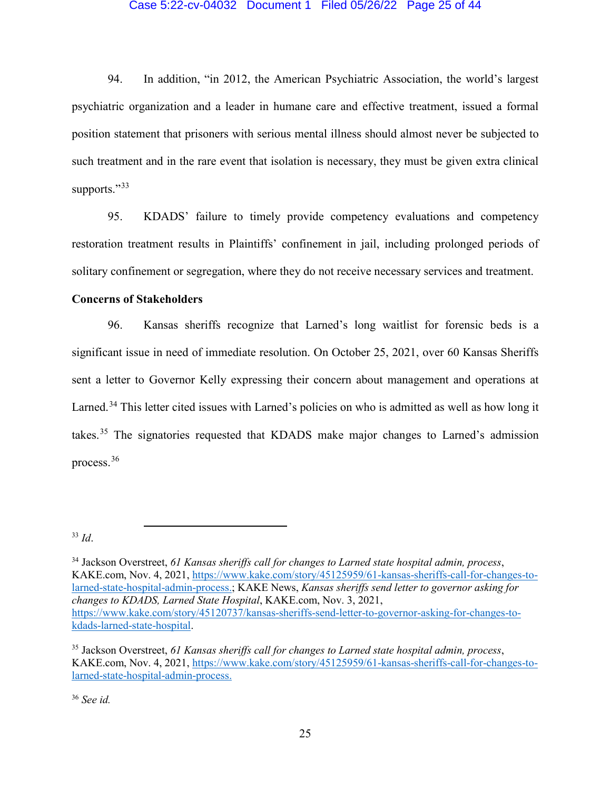### Case 5:22-cv-04032 Document 1 Filed 05/26/22 Page 25 of 44

94. In addition, "in 2012, the American Psychiatric Association, the world's largest psychiatric organization and a leader in humane care and effective treatment, issued a formal position statement that prisoners with serious mental illness should almost never be subjected to such treatment and in the rare event that isolation is necessary, they must be given extra clinical supports."<sup>[33](#page-24-0)</sup>

95. KDADS' failure to timely provide competency evaluations and competency restoration treatment results in Plaintiffs' confinement in jail, including prolonged periods of solitary confinement or segregation, where they do not receive necessary services and treatment.

## **Concerns of Stakeholders**

 $\overline{a}$ 

96. Kansas sheriffs recognize that Larned's long waitlist for forensic beds is a significant issue in need of immediate resolution. On October 25, 2021, over 60 Kansas Sheriffs sent a letter to Governor Kelly expressing their concern about management and operations at Larned.<sup>[34](#page-24-1)</sup> This letter cited issues with Larned's policies on who is admitted as well as how long it takes.[35](#page-24-2) The signatories requested that KDADS make major changes to Larned's admission process.[36](#page-24-3)

<span id="page-24-0"></span><sup>33</sup> *Id*.

<span id="page-24-3"></span><sup>36</sup> *See id.*

<span id="page-24-1"></span><sup>34</sup> Jackson Overstreet, *61 Kansas sheriffs call for changes to Larned state hospital admin, process*, KAKE.com, Nov. 4, 2021, [https://www.kake.com/story/45125959/61-kansas-sheriffs-call-for-changes-to](https://www.kake.com/story/45125959/61-kansas-sheriffs-call-for-changes-to-larned-state-hospital-admin-process)[larned-state-hospital-admin-process.](https://www.kake.com/story/45125959/61-kansas-sheriffs-call-for-changes-to-larned-state-hospital-admin-process); KAKE News, *Kansas sheriffs send letter to governor asking for changes to KDADS, Larned State Hospital*, KAKE.com, Nov. 3, 2021, [https://www.kake.com/story/45120737/kansas-sheriffs-send-letter-to-governor-asking-for-changes-to](https://www.kake.com/story/45120737/kansas-sheriffs-send-letter-to-governor-asking-for-changes-to-kdads-larned-state-hospital)[kdads-larned-state-hospital.](https://www.kake.com/story/45120737/kansas-sheriffs-send-letter-to-governor-asking-for-changes-to-kdads-larned-state-hospital)

<span id="page-24-2"></span><sup>35</sup> Jackson Overstreet, *61 Kansas sheriffs call for changes to Larned state hospital admin, process*, KAKE.com, Nov. 4, 2021, [https://www.kake.com/story/45125959/61-kansas-sheriffs-call-for-changes-to](https://www.kake.com/story/45125959/61-kansas-sheriffs-call-for-changes-to-larned-state-hospital-admin-process)[larned-state-hospital-admin-process.](https://www.kake.com/story/45125959/61-kansas-sheriffs-call-for-changes-to-larned-state-hospital-admin-process)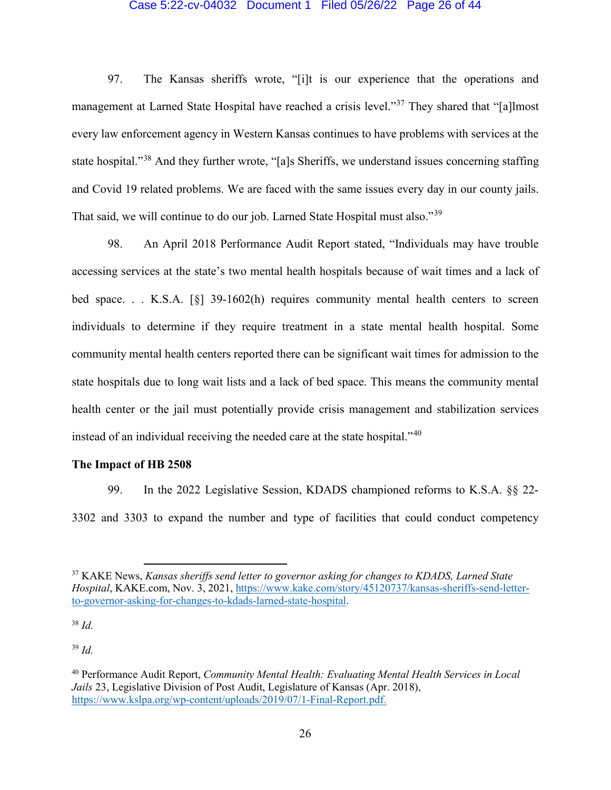### Case 5:22-cv-04032 Document 1 Filed 05/26/22 Page 26 of 44

97. The Kansas sheriffs wrote, "[i]t is our experience that the operations and management at Larned State Hospital have reached a crisis level."<sup>[37](#page-25-0)</sup> They shared that "[a]lmost every law enforcement agency in Western Kansas continues to have problems with services at the state hospital."[38](#page-25-1) And they further wrote, "[a]s Sheriffs, we understand issues concerning staffing and Covid 19 related problems. We are faced with the same issues every day in our county jails. That said, we will continue to do our job. Larned State Hospital must also."[39](#page-25-2)

98. An April 2018 Performance Audit Report stated, "Individuals may have trouble accessing services at the state's two mental health hospitals because of wait times and a lack of bed space. . . K.S.A. [§] 39-1602(h) requires community mental health centers to screen individuals to determine if they require treatment in a state mental health hospital. Some community mental health centers reported there can be significant wait times for admission to the state hospitals due to long wait lists and a lack of bed space. This means the community mental health center or the jail must potentially provide crisis management and stabilization services instead of an individual receiving the needed care at the state hospital."[40](#page-25-3)

## **The Impact of HB 2508**

l

99. In the 2022 Legislative Session, KDADS championed reforms to K.S.A. §§ 22- 3302 and 3303 to expand the number and type of facilities that could conduct competency

<span id="page-25-1"></span><sup>38</sup> *Id.*

<span id="page-25-2"></span><sup>39</sup> *Id.*

<span id="page-25-0"></span><sup>37</sup> KAKE News, *Kansas sheriffs send letter to governor asking for changes to KDADS, Larned State Hospital*, KAKE.com, Nov. 3, 2021, [https://www.kake.com/story/45120737/kansas-sheriffs-send-letter](https://www.kake.com/story/45120737/kansas-sheriffs-send-letter-to-governor-asking-for-changes-to-kdads-larned-state-hospital)[to-governor-asking-for-changes-to-kdads-larned-state-hospital.](https://www.kake.com/story/45120737/kansas-sheriffs-send-letter-to-governor-asking-for-changes-to-kdads-larned-state-hospital)

<span id="page-25-3"></span><sup>40</sup> Performance Audit Report, *Community Mental Health: Evaluating Mental Health Services in Local Jails* 23, Legislative Division of Post Audit, Legislature of Kansas (Apr. 2018), [https://www.kslpa.org/wp-content/uploads/2019/07/1-Final-Report.pdf.](https://www.kslpa.org/wp-content/uploads/2019/07/1-Final-Report.pdf)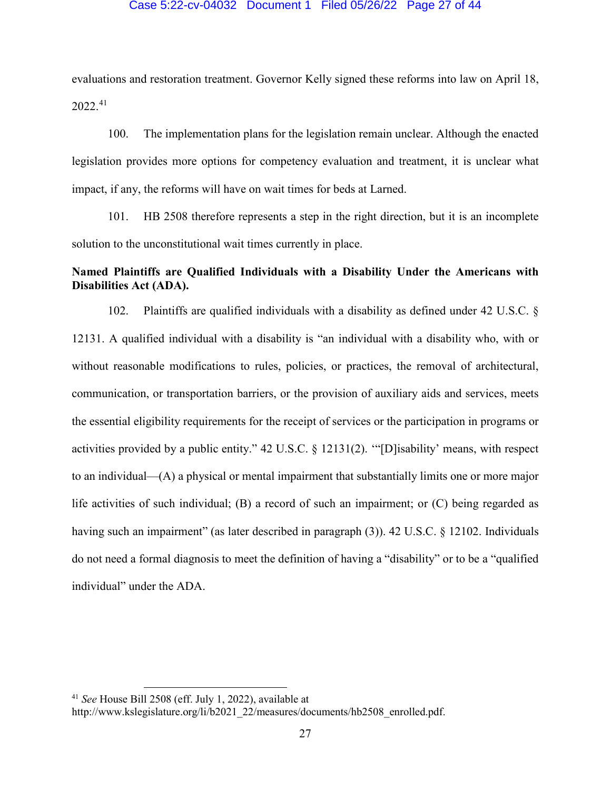### Case 5:22-cv-04032 Document 1 Filed 05/26/22 Page 27 of 44

evaluations and restoration treatment. Governor Kelly signed these reforms into law on April 18, 2022.[41](#page-26-0)

100. The implementation plans for the legislation remain unclear. Although the enacted legislation provides more options for competency evaluation and treatment, it is unclear what impact, if any, the reforms will have on wait times for beds at Larned.

101. HB 2508 therefore represents a step in the right direction, but it is an incomplete solution to the unconstitutional wait times currently in place.

# **Named Plaintiffs are Qualified Individuals with a Disability Under the Americans with Disabilities Act (ADA).**

102. Plaintiffs are qualified individuals with a disability as defined under 42 U.S.C. § 12131. A qualified individual with a disability is "an individual with a disability who, with or without reasonable modifications to rules, policies, or practices, the removal of architectural, communication, or transportation barriers, or the provision of auxiliary aids and services, meets the essential eligibility requirements for the receipt of services or the participation in programs or activities provided by a public entity." 42 U.S.C. § 12131(2). '"[D]isability' means, with respect to an individual—(A) a physical or mental impairment that substantially limits one or more major life activities of such individual; (B) a record of such an impairment; or (C) being regarded as having such an impairment" (as later described in paragraph (3)). 42 U.S.C. § 12102. Individuals do not need a formal diagnosis to meet the definition of having a "disability" or to be a "qualified individual" under the ADA.

l

<span id="page-26-0"></span><sup>41</sup> *See* House Bill 2508 (eff. July 1, 2022), available at

http://www.kslegislature.org/li/b2021\_22/measures/documents/hb2508\_enrolled.pdf.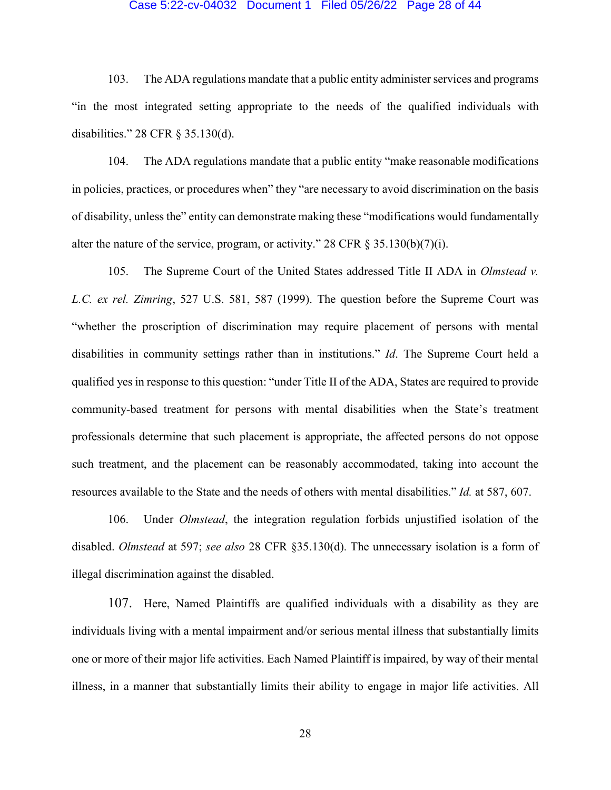#### Case 5:22-cv-04032 Document 1 Filed 05/26/22 Page 28 of 44

103. The ADA regulations mandate that a public entity administer services and programs "in the most integrated setting appropriate to the needs of the qualified individuals with disabilities." 28 CFR § 35.130(d).

104. The ADA regulations mandate that a public entity "make reasonable modifications in policies, practices, or procedures when" they "are necessary to avoid discrimination on the basis of disability, unless the" entity can demonstrate making these "modifications would fundamentally alter the nature of the service, program, or activity." 28 CFR  $\S 35.130(b)(7)(i)$ .

105. The Supreme Court of the United States addressed Title II ADA in *Olmstead v. L.C. ex rel. Zimring*, 527 U.S. 581, 587 (1999). The question before the Supreme Court was "whether the proscription of discrimination may require placement of persons with mental disabilities in community settings rather than in institutions." *Id*. The Supreme Court held a qualified yes in response to this question: "under Title II of the ADA, States are required to provide community-based treatment for persons with mental disabilities when the State's treatment professionals determine that such placement is appropriate, the affected persons do not oppose such treatment, and the placement can be reasonably accommodated, taking into account the resources available to the State and the needs of others with mental disabilities." *Id.* at 587, 607.

106. Under *Olmstead*, the integration regulation forbids unjustified isolation of the disabled. *Olmstead* at 597; *see also* 28 CFR §35.130(d). The unnecessary isolation is a form of illegal discrimination against the disabled.

107. Here, Named Plaintiffs are qualified individuals with a disability as they are individuals living with a mental impairment and/or serious mental illness that substantially limits one or more of their major life activities. Each Named Plaintiff is impaired, by way of their mental illness, in a manner that substantially limits their ability to engage in major life activities. All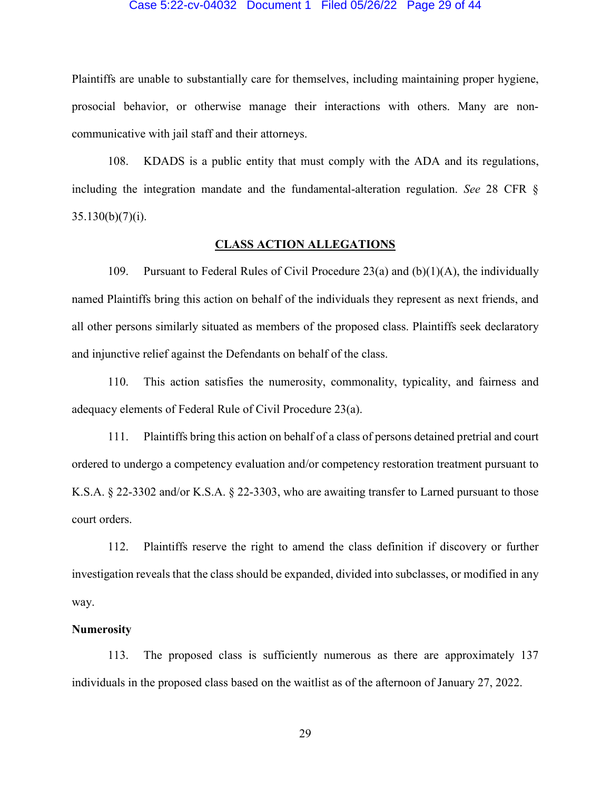#### Case 5:22-cv-04032 Document 1 Filed 05/26/22 Page 29 of 44

Plaintiffs are unable to substantially care for themselves, including maintaining proper hygiene, prosocial behavior, or otherwise manage their interactions with others. Many are noncommunicative with jail staff and their attorneys.

108. KDADS is a public entity that must comply with the ADA and its regulations, including the integration mandate and the fundamental-alteration regulation. *See* 28 CFR §  $35.130(b)(7)(i)$ .

## **CLASS ACTION ALLEGATIONS**

109. Pursuant to Federal Rules of Civil Procedure 23(a) and  $(b)(1)(A)$ , the individually named Plaintiffs bring this action on behalf of the individuals they represent as next friends, and all other persons similarly situated as members of the proposed class. Plaintiffs seek declaratory and injunctive relief against the Defendants on behalf of the class.

110. This action satisfies the numerosity, commonality, typicality, and fairness and adequacy elements of Federal Rule of Civil Procedure 23(a).

111. Plaintiffs bring this action on behalf of a class of persons detained pretrial and court ordered to undergo a competency evaluation and/or competency restoration treatment pursuant to K.S.A. § 22-3302 and/or K.S.A. § 22-3303, who are awaiting transfer to Larned pursuant to those court orders.

112. Plaintiffs reserve the right to amend the class definition if discovery or further investigation reveals that the class should be expanded, divided into subclasses, or modified in any way.

### **Numerosity**

113. The proposed class is sufficiently numerous as there are approximately 137 individuals in the proposed class based on the waitlist as of the afternoon of January 27, 2022.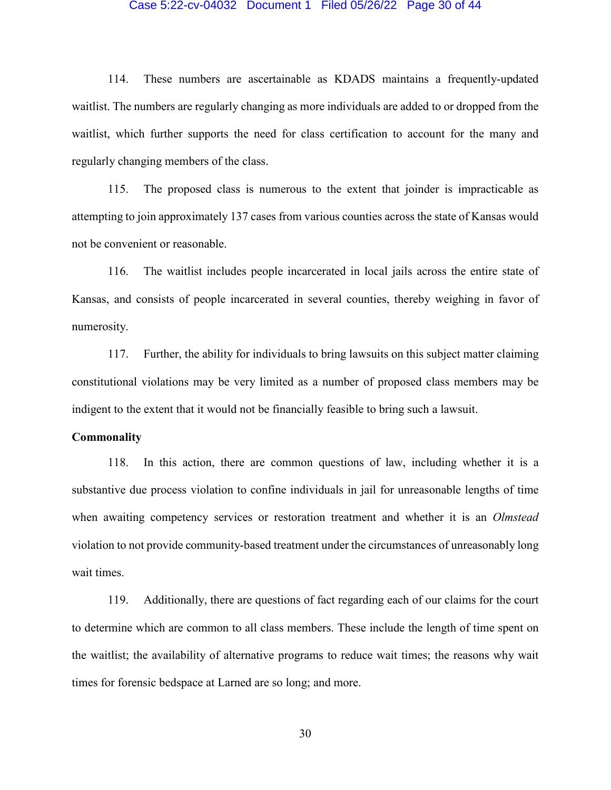## Case 5:22-cv-04032 Document 1 Filed 05/26/22 Page 30 of 44

114. These numbers are ascertainable as KDADS maintains a frequently-updated waitlist. The numbers are regularly changing as more individuals are added to or dropped from the waitlist, which further supports the need for class certification to account for the many and regularly changing members of the class.

115. The proposed class is numerous to the extent that joinder is impracticable as attempting to join approximately 137 cases from various counties across the state of Kansas would not be convenient or reasonable.

116. The waitlist includes people incarcerated in local jails across the entire state of Kansas, and consists of people incarcerated in several counties, thereby weighing in favor of numerosity.

117. Further, the ability for individuals to bring lawsuits on this subject matter claiming constitutional violations may be very limited as a number of proposed class members may be indigent to the extent that it would not be financially feasible to bring such a lawsuit.

## **Commonality**

118. In this action, there are common questions of law, including whether it is a substantive due process violation to confine individuals in jail for unreasonable lengths of time when awaiting competency services or restoration treatment and whether it is an *Olmstead* violation to not provide community-based treatment under the circumstances of unreasonably long wait times.

119. Additionally, there are questions of fact regarding each of our claims for the court to determine which are common to all class members. These include the length of time spent on the waitlist; the availability of alternative programs to reduce wait times; the reasons why wait times for forensic bedspace at Larned are so long; and more.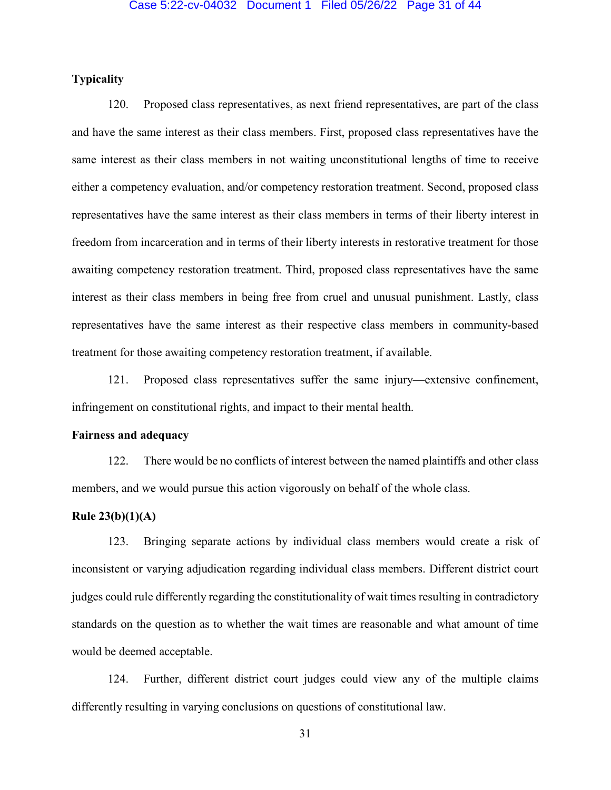# **Typicality**

120. Proposed class representatives, as next friend representatives, are part of the class and have the same interest as their class members. First, proposed class representatives have the same interest as their class members in not waiting unconstitutional lengths of time to receive either a competency evaluation, and/or competency restoration treatment. Second, proposed class representatives have the same interest as their class members in terms of their liberty interest in freedom from incarceration and in terms of their liberty interests in restorative treatment for those awaiting competency restoration treatment. Third, proposed class representatives have the same interest as their class members in being free from cruel and unusual punishment. Lastly, class representatives have the same interest as their respective class members in community-based treatment for those awaiting competency restoration treatment, if available.

121. Proposed class representatives suffer the same injury—extensive confinement, infringement on constitutional rights, and impact to their mental health.

## **Fairness and adequacy**

122. There would be no conflicts of interest between the named plaintiffs and other class members, and we would pursue this action vigorously on behalf of the whole class.

## **Rule 23(b)(1)(A)**

123. Bringing separate actions by individual class members would create a risk of inconsistent or varying adjudication regarding individual class members. Different district court judges could rule differently regarding the constitutionality of wait times resulting in contradictory standards on the question as to whether the wait times are reasonable and what amount of time would be deemed acceptable.

124. Further, different district court judges could view any of the multiple claims differently resulting in varying conclusions on questions of constitutional law.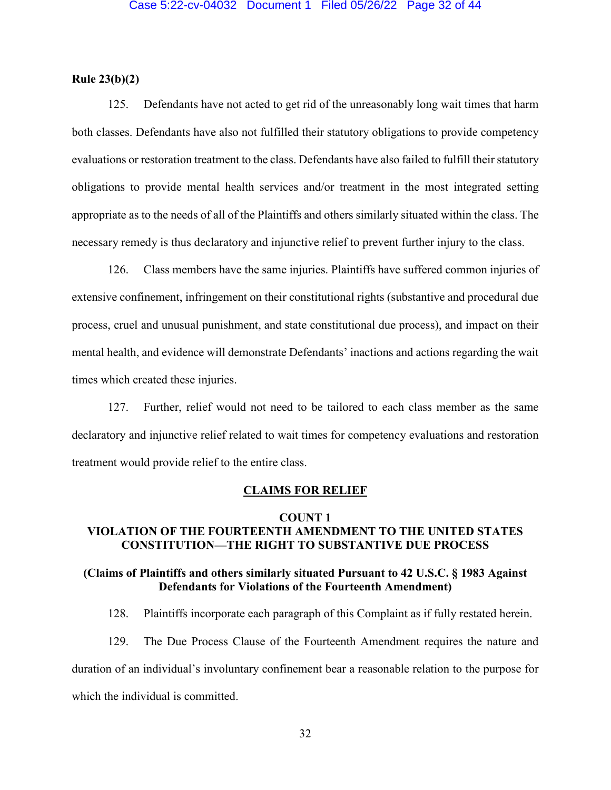## **Rule 23(b)(2)**

125. Defendants have not acted to get rid of the unreasonably long wait times that harm both classes. Defendants have also not fulfilled their statutory obligations to provide competency evaluations or restoration treatment to the class. Defendants have also failed to fulfill their statutory obligations to provide mental health services and/or treatment in the most integrated setting appropriate as to the needs of all of the Plaintiffs and others similarly situated within the class. The necessary remedy is thus declaratory and injunctive relief to prevent further injury to the class.

126. Class members have the same injuries. Plaintiffs have suffered common injuries of extensive confinement, infringement on their constitutional rights (substantive and procedural due process, cruel and unusual punishment, and state constitutional due process), and impact on their mental health, and evidence will demonstrate Defendants' inactions and actions regarding the wait times which created these injuries.

127. Further, relief would not need to be tailored to each class member as the same declaratory and injunctive relief related to wait times for competency evaluations and restoration treatment would provide relief to the entire class.

### **CLAIMS FOR RELIEF**

# **COUNT 1 VIOLATION OF THE FOURTEENTH AMENDMENT TO THE UNITED STATES**

## **(Claims of Plaintiffs and others similarly situated Pursuant to 42 U.S.C. § 1983 Against Defendants for Violations of the Fourteenth Amendment)**

**CONSTITUTION—THE RIGHT TO SUBSTANTIVE DUE PROCESS**

128. Plaintiffs incorporate each paragraph of this Complaint as if fully restated herein.

129. The Due Process Clause of the Fourteenth Amendment requires the nature and duration of an individual's involuntary confinement bear a reasonable relation to the purpose for which the individual is committed.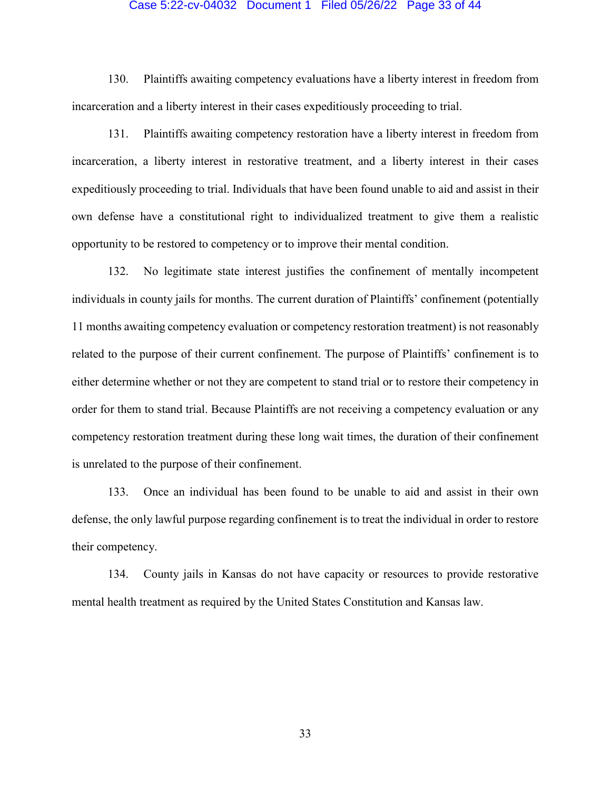## Case 5:22-cv-04032 Document 1 Filed 05/26/22 Page 33 of 44

130. Plaintiffs awaiting competency evaluations have a liberty interest in freedom from incarceration and a liberty interest in their cases expeditiously proceeding to trial.

131. Plaintiffs awaiting competency restoration have a liberty interest in freedom from incarceration, a liberty interest in restorative treatment, and a liberty interest in their cases expeditiously proceeding to trial. Individuals that have been found unable to aid and assist in their own defense have a constitutional right to individualized treatment to give them a realistic opportunity to be restored to competency or to improve their mental condition.

132. No legitimate state interest justifies the confinement of mentally incompetent individuals in county jails for months. The current duration of Plaintiffs' confinement (potentially 11 months awaiting competency evaluation or competency restoration treatment) is not reasonably related to the purpose of their current confinement. The purpose of Plaintiffs' confinement is to either determine whether or not they are competent to stand trial or to restore their competency in order for them to stand trial. Because Plaintiffs are not receiving a competency evaluation or any competency restoration treatment during these long wait times, the duration of their confinement is unrelated to the purpose of their confinement.

133. Once an individual has been found to be unable to aid and assist in their own defense, the only lawful purpose regarding confinement is to treat the individual in order to restore their competency.

134. County jails in Kansas do not have capacity or resources to provide restorative mental health treatment as required by the United States Constitution and Kansas law.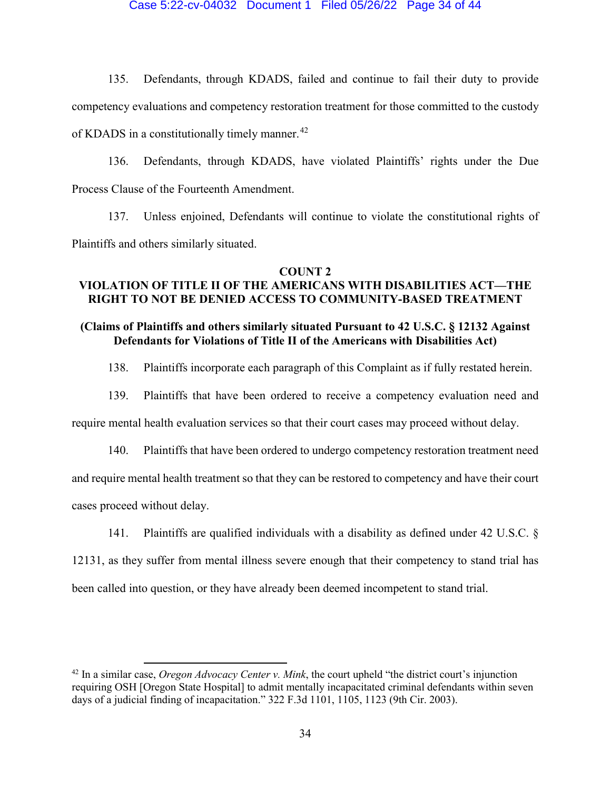## Case 5:22-cv-04032 Document 1 Filed 05/26/22 Page 34 of 44

135. Defendants, through KDADS, failed and continue to fail their duty to provide competency evaluations and competency restoration treatment for those committed to the custody of KDADS in a constitutionally timely manner.<sup>[42](#page-33-0)</sup>

136. Defendants, through KDADS, have violated Plaintiffs' rights under the Due Process Clause of the Fourteenth Amendment.

137. Unless enjoined, Defendants will continue to violate the constitutional rights of Plaintiffs and others similarly situated.

#### **COUNT 2**

# **VIOLATION OF TITLE II OF THE AMERICANS WITH DISABILITIES ACT—THE RIGHT TO NOT BE DENIED ACCESS TO COMMUNITY-BASED TREATMENT**

# **(Claims of Plaintiffs and others similarly situated Pursuant to 42 U.S.C. § 12132 Against Defendants for Violations of Title II of the Americans with Disabilities Act)**

138. Plaintiffs incorporate each paragraph of this Complaint as if fully restated herein.

139. Plaintiffs that have been ordered to receive a competency evaluation need and

require mental health evaluation services so that their court cases may proceed without delay.

140. Plaintiffs that have been ordered to undergo competency restoration treatment need

and require mental health treatment so that they can be restored to competency and have their court

cases proceed without delay.

 $\overline{\phantom{a}}$ 

141. Plaintiffs are qualified individuals with a disability as defined under 42 U.S.C. §

12131, as they suffer from mental illness severe enough that their competency to stand trial has

been called into question, or they have already been deemed incompetent to stand trial.

<span id="page-33-0"></span><sup>42</sup> In a similar case, *Oregon Advocacy Center v. Mink*, the court upheld "the district court's injunction requiring OSH [Oregon State Hospital] to admit mentally incapacitated criminal defendants within seven days of a judicial finding of incapacitation." 322 F.3d 1101, 1105, 1123 (9th Cir. 2003).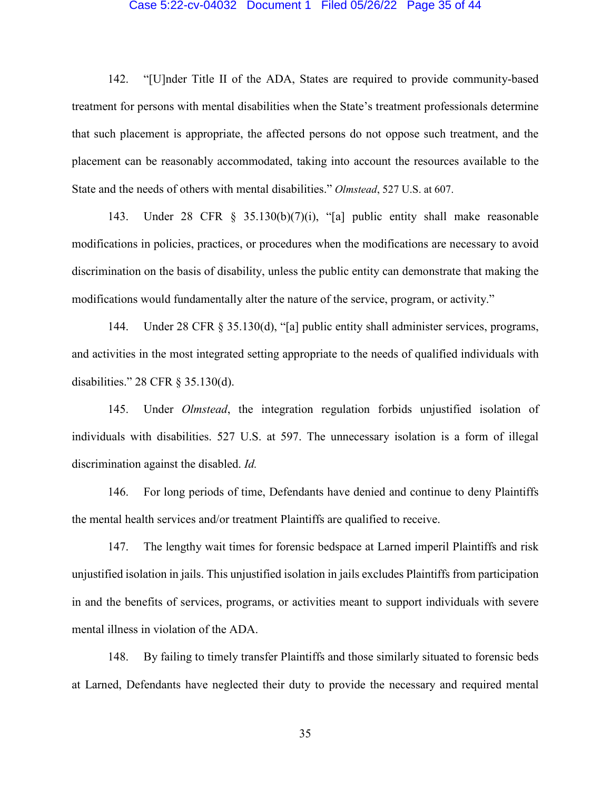#### Case 5:22-cv-04032 Document 1 Filed 05/26/22 Page 35 of 44

142. "[U]nder Title II of the ADA, States are required to provide community-based treatment for persons with mental disabilities when the State's treatment professionals determine that such placement is appropriate, the affected persons do not oppose such treatment, and the placement can be reasonably accommodated, taking into account the resources available to the State and the needs of others with mental disabilities." *Olmstead*, 527 U.S. at 607.

143. Under 28 CFR § 35.130(b)(7)(i), "[a] public entity shall make reasonable modifications in policies, practices, or procedures when the modifications are necessary to avoid discrimination on the basis of disability, unless the public entity can demonstrate that making the modifications would fundamentally alter the nature of the service, program, or activity."

144. Under 28 CFR § 35.130(d), "[a] public entity shall administer services, programs, and activities in the most integrated setting appropriate to the needs of qualified individuals with disabilities." 28 CFR § 35.130(d).

145. Under *Olmstead*, the integration regulation forbids unjustified isolation of individuals with disabilities. 527 U.S. at 597. The unnecessary isolation is a form of illegal discrimination against the disabled. *Id.*

146. For long periods of time, Defendants have denied and continue to deny Plaintiffs the mental health services and/or treatment Plaintiffs are qualified to receive.

147. The lengthy wait times for forensic bedspace at Larned imperil Plaintiffs and risk unjustified isolation in jails. This unjustified isolation in jails excludes Plaintiffs from participation in and the benefits of services, programs, or activities meant to support individuals with severe mental illness in violation of the ADA.

148. By failing to timely transfer Plaintiffs and those similarly situated to forensic beds at Larned, Defendants have neglected their duty to provide the necessary and required mental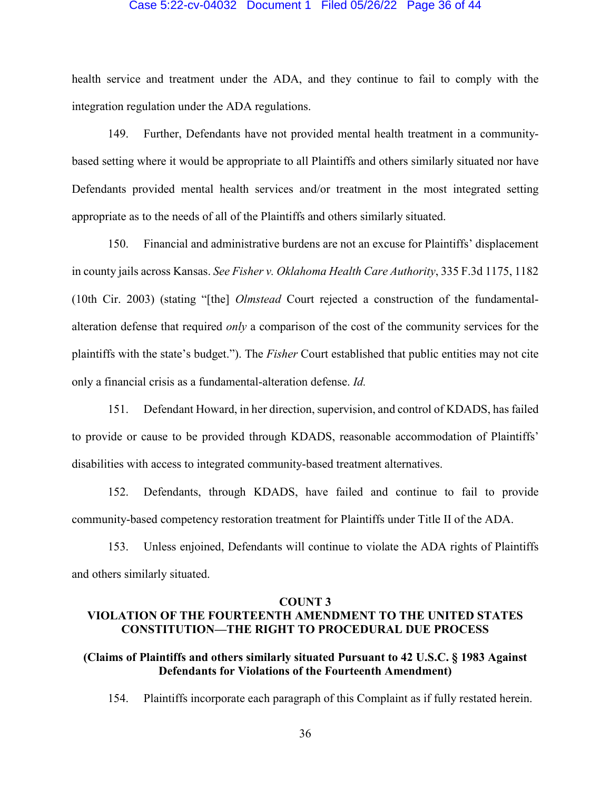### Case 5:22-cv-04032 Document 1 Filed 05/26/22 Page 36 of 44

health service and treatment under the ADA, and they continue to fail to comply with the integration regulation under the ADA regulations.

149. Further, Defendants have not provided mental health treatment in a communitybased setting where it would be appropriate to all Plaintiffs and others similarly situated nor have Defendants provided mental health services and/or treatment in the most integrated setting appropriate as to the needs of all of the Plaintiffs and others similarly situated.

150. Financial and administrative burdens are not an excuse for Plaintiffs' displacement in county jails across Kansas. *See Fisher v. Oklahoma Health Care Authority*, 335 F.3d 1175, 1182 (10th Cir. 2003) (stating "[the] *Olmstead* Court rejected a construction of the fundamentalalteration defense that required *only* a comparison of the cost of the community services for the plaintiffs with the state's budget."). The *Fisher* Court established that public entities may not cite only a financial crisis as a fundamental-alteration defense. *Id.*

151. Defendant Howard, in her direction, supervision, and control of KDADS, has failed to provide or cause to be provided through KDADS, reasonable accommodation of Plaintiffs' disabilities with access to integrated community-based treatment alternatives.

152. Defendants, through KDADS, have failed and continue to fail to provide community-based competency restoration treatment for Plaintiffs under Title II of the ADA.

153. Unless enjoined, Defendants will continue to violate the ADA rights of Plaintiffs and others similarly situated.

#### **COUNT 3**

# **VIOLATION OF THE FOURTEENTH AMENDMENT TO THE UNITED STATES CONSTITUTION—THE RIGHT TO PROCEDURAL DUE PROCESS**

# **(Claims of Plaintiffs and others similarly situated Pursuant to 42 U.S.C. § 1983 Against Defendants for Violations of the Fourteenth Amendment)**

154. Plaintiffs incorporate each paragraph of this Complaint as if fully restated herein.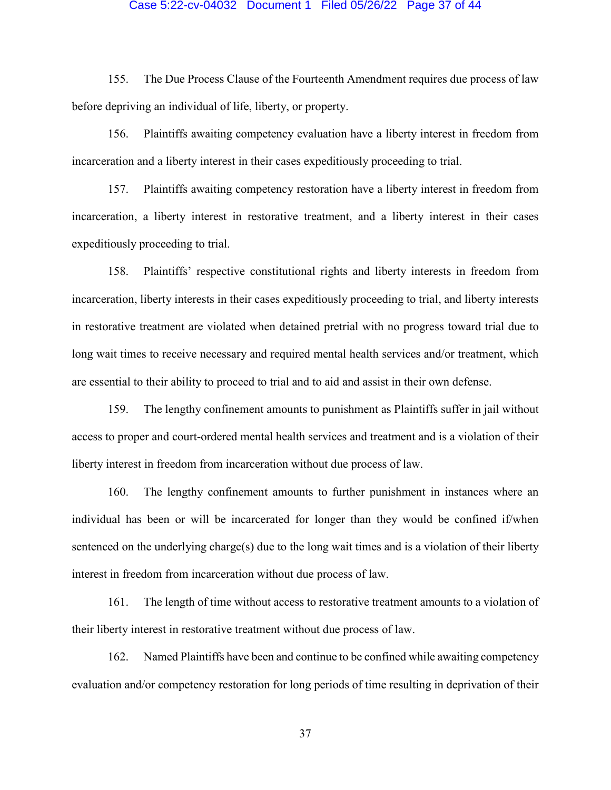## Case 5:22-cv-04032 Document 1 Filed 05/26/22 Page 37 of 44

155. The Due Process Clause of the Fourteenth Amendment requires due process of law before depriving an individual of life, liberty, or property.

156. Plaintiffs awaiting competency evaluation have a liberty interest in freedom from incarceration and a liberty interest in their cases expeditiously proceeding to trial.

157. Plaintiffs awaiting competency restoration have a liberty interest in freedom from incarceration, a liberty interest in restorative treatment, and a liberty interest in their cases expeditiously proceeding to trial.

158. Plaintiffs' respective constitutional rights and liberty interests in freedom from incarceration, liberty interests in their cases expeditiously proceeding to trial, and liberty interests in restorative treatment are violated when detained pretrial with no progress toward trial due to long wait times to receive necessary and required mental health services and/or treatment, which are essential to their ability to proceed to trial and to aid and assist in their own defense.

159. The lengthy confinement amounts to punishment as Plaintiffs suffer in jail without access to proper and court-ordered mental health services and treatment and is a violation of their liberty interest in freedom from incarceration without due process of law.

160. The lengthy confinement amounts to further punishment in instances where an individual has been or will be incarcerated for longer than they would be confined if/when sentenced on the underlying charge(s) due to the long wait times and is a violation of their liberty interest in freedom from incarceration without due process of law.

161. The length of time without access to restorative treatment amounts to a violation of their liberty interest in restorative treatment without due process of law.

162. Named Plaintiffs have been and continue to be confined while awaiting competency evaluation and/or competency restoration for long periods of time resulting in deprivation of their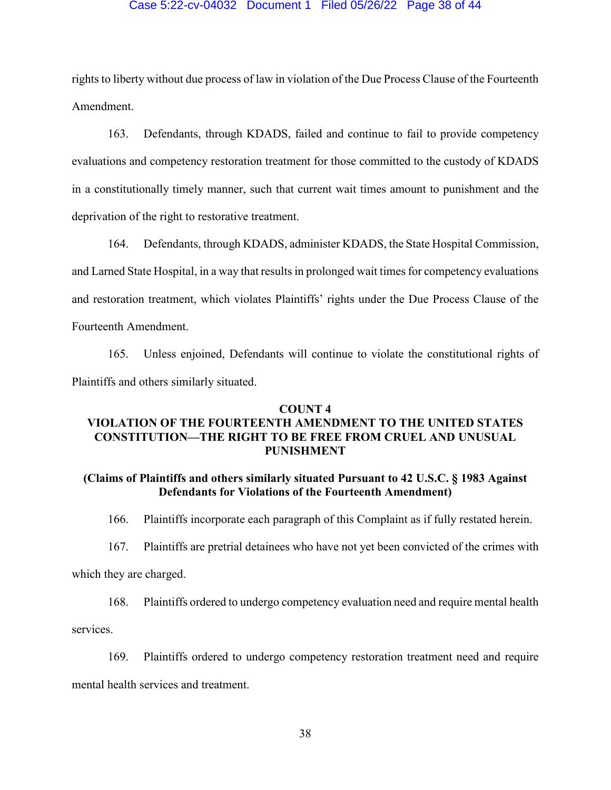### Case 5:22-cv-04032 Document 1 Filed 05/26/22 Page 38 of 44

rights to liberty without due process of law in violation of the Due Process Clause of the Fourteenth Amendment.

163. Defendants, through KDADS, failed and continue to fail to provide competency evaluations and competency restoration treatment for those committed to the custody of KDADS in a constitutionally timely manner, such that current wait times amount to punishment and the deprivation of the right to restorative treatment.

164. Defendants, through KDADS, administer KDADS, the State Hospital Commission, and Larned State Hospital, in a way that results in prolonged wait times for competency evaluations and restoration treatment, which violates Plaintiffs' rights under the Due Process Clause of the Fourteenth Amendment.

165. Unless enjoined, Defendants will continue to violate the constitutional rights of Plaintiffs and others similarly situated.

### **COUNT 4**

# **VIOLATION OF THE FOURTEENTH AMENDMENT TO THE UNITED STATES CONSTITUTION—THE RIGHT TO BE FREE FROM CRUEL AND UNUSUAL PUNISHMENT**

# **(Claims of Plaintiffs and others similarly situated Pursuant to 42 U.S.C. § 1983 Against Defendants for Violations of the Fourteenth Amendment)**

166. Plaintiffs incorporate each paragraph of this Complaint as if fully restated herein.

167. Plaintiffs are pretrial detainees who have not yet been convicted of the crimes with

which they are charged.

168. Plaintiffs ordered to undergo competency evaluation need and require mental health

services.

169. Plaintiffs ordered to undergo competency restoration treatment need and require mental health services and treatment.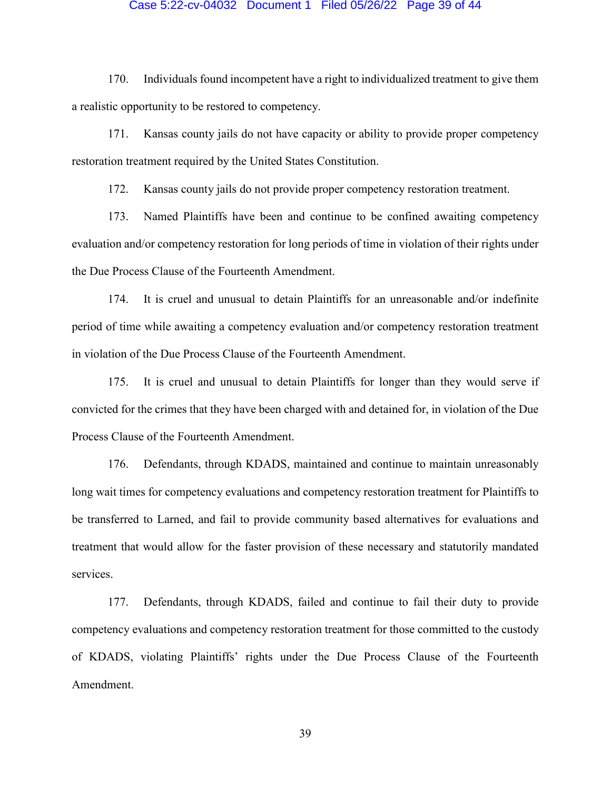### Case 5:22-cv-04032 Document 1 Filed 05/26/22 Page 39 of 44

170. Individuals found incompetent have a right to individualized treatment to give them a realistic opportunity to be restored to competency.

171. Kansas county jails do not have capacity or ability to provide proper competency restoration treatment required by the United States Constitution.

172. Kansas county jails do not provide proper competency restoration treatment.

173. Named Plaintiffs have been and continue to be confined awaiting competency evaluation and/or competency restoration for long periods of time in violation of their rights under the Due Process Clause of the Fourteenth Amendment.

174. It is cruel and unusual to detain Plaintiffs for an unreasonable and/or indefinite period of time while awaiting a competency evaluation and/or competency restoration treatment in violation of the Due Process Clause of the Fourteenth Amendment.

175. It is cruel and unusual to detain Plaintiffs for longer than they would serve if convicted for the crimes that they have been charged with and detained for, in violation of the Due Process Clause of the Fourteenth Amendment.

176. Defendants, through KDADS, maintained and continue to maintain unreasonably long wait times for competency evaluations and competency restoration treatment for Plaintiffs to be transferred to Larned, and fail to provide community based alternatives for evaluations and treatment that would allow for the faster provision of these necessary and statutorily mandated services.

177. Defendants, through KDADS, failed and continue to fail their duty to provide competency evaluations and competency restoration treatment for those committed to the custody of KDADS, violating Plaintiffs' rights under the Due Process Clause of the Fourteenth Amendment.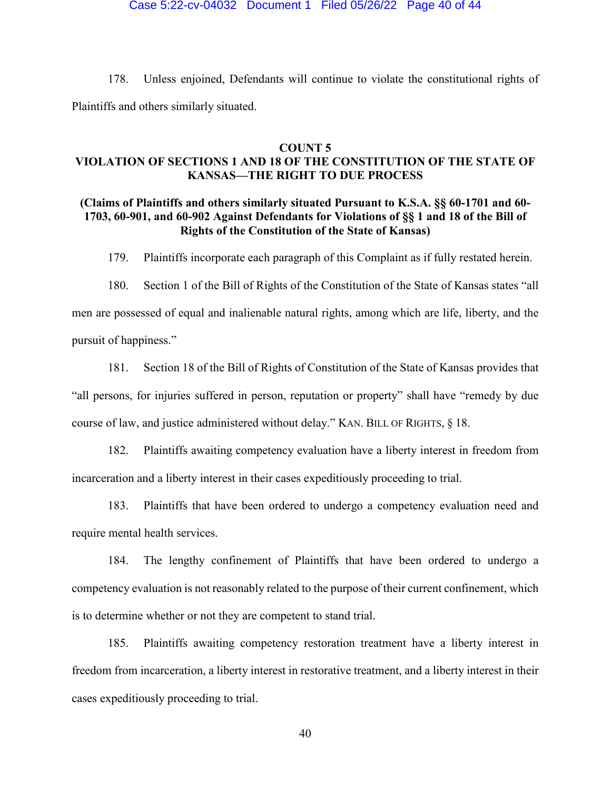## Case 5:22-cv-04032 Document 1 Filed 05/26/22 Page 40 of 44

178. Unless enjoined, Defendants will continue to violate the constitutional rights of Plaintiffs and others similarly situated.

## **COUNT 5**

# **VIOLATION OF SECTIONS 1 AND 18 OF THE CONSTITUTION OF THE STATE OF KANSAS—THE RIGHT TO DUE PROCESS**

# **(Claims of Plaintiffs and others similarly situated Pursuant to K.S.A. §§ 60-1701 and 60- 1703, 60-901, and 60-902 Against Defendants for Violations of §§ 1 and 18 of the Bill of Rights of the Constitution of the State of Kansas)**

179. Plaintiffs incorporate each paragraph of this Complaint as if fully restated herein.

180. Section 1 of the Bill of Rights of the Constitution of the State of Kansas states "all men are possessed of equal and inalienable natural rights, among which are life, liberty, and the pursuit of happiness."

181. Section 18 of the Bill of Rights of Constitution of the State of Kansas provides that "all persons, for injuries suffered in person, reputation or property" shall have "remedy by due course of law, and justice administered without delay." KAN. BILL OF RIGHTS, § 18.

182. Plaintiffs awaiting competency evaluation have a liberty interest in freedom from incarceration and a liberty interest in their cases expeditiously proceeding to trial.

183. Plaintiffs that have been ordered to undergo a competency evaluation need and require mental health services.

184. The lengthy confinement of Plaintiffs that have been ordered to undergo a competency evaluation is not reasonably related to the purpose of their current confinement, which is to determine whether or not they are competent to stand trial.

185. Plaintiffs awaiting competency restoration treatment have a liberty interest in freedom from incarceration, a liberty interest in restorative treatment, and a liberty interest in their cases expeditiously proceeding to trial.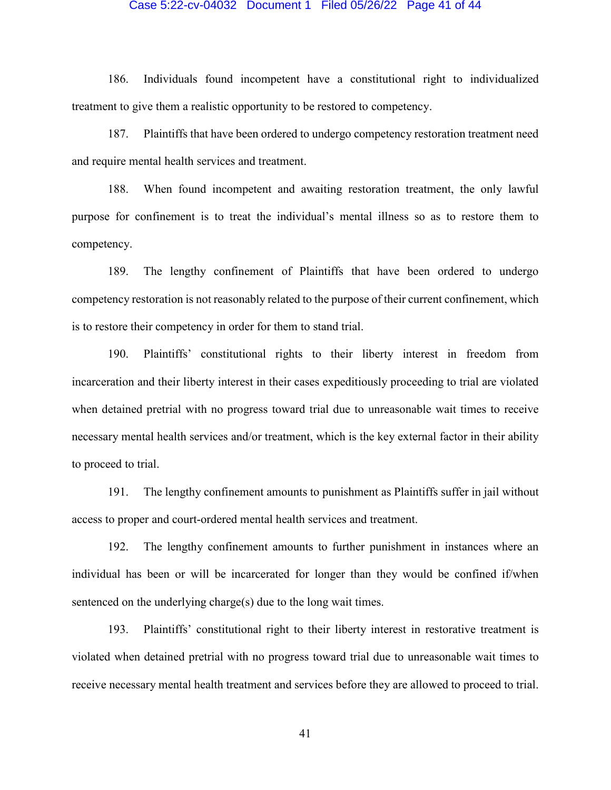#### Case 5:22-cv-04032 Document 1 Filed 05/26/22 Page 41 of 44

186. Individuals found incompetent have a constitutional right to individualized treatment to give them a realistic opportunity to be restored to competency.

187. Plaintiffs that have been ordered to undergo competency restoration treatment need and require mental health services and treatment.

188. When found incompetent and awaiting restoration treatment, the only lawful purpose for confinement is to treat the individual's mental illness so as to restore them to competency.

189. The lengthy confinement of Plaintiffs that have been ordered to undergo competency restoration is not reasonably related to the purpose of their current confinement, which is to restore their competency in order for them to stand trial.

190. Plaintiffs' constitutional rights to their liberty interest in freedom from incarceration and their liberty interest in their cases expeditiously proceeding to trial are violated when detained pretrial with no progress toward trial due to unreasonable wait times to receive necessary mental health services and/or treatment, which is the key external factor in their ability to proceed to trial.

191. The lengthy confinement amounts to punishment as Plaintiffs suffer in jail without access to proper and court-ordered mental health services and treatment.

192. The lengthy confinement amounts to further punishment in instances where an individual has been or will be incarcerated for longer than they would be confined if/when sentenced on the underlying charge(s) due to the long wait times.

193. Plaintiffs' constitutional right to their liberty interest in restorative treatment is violated when detained pretrial with no progress toward trial due to unreasonable wait times to receive necessary mental health treatment and services before they are allowed to proceed to trial.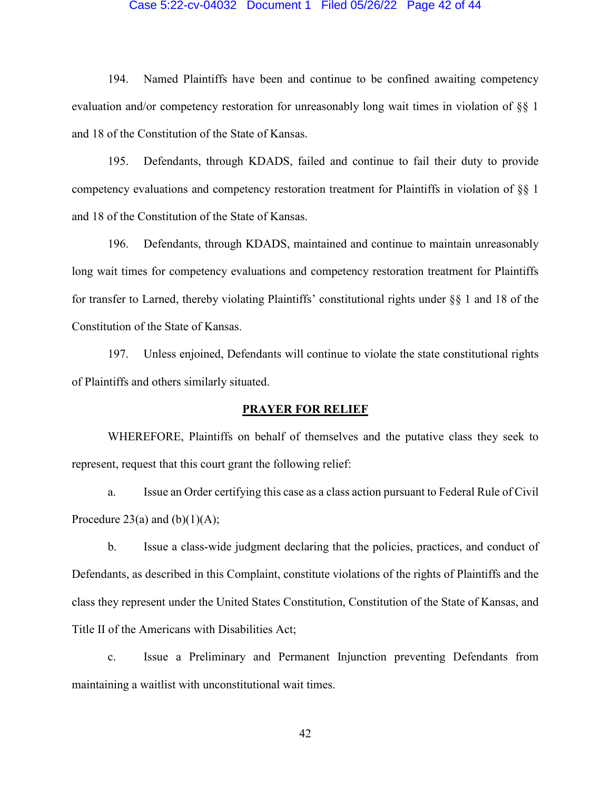## Case 5:22-cv-04032 Document 1 Filed 05/26/22 Page 42 of 44

194. Named Plaintiffs have been and continue to be confined awaiting competency evaluation and/or competency restoration for unreasonably long wait times in violation of §§ 1 and 18 of the Constitution of the State of Kansas.

195. Defendants, through KDADS, failed and continue to fail their duty to provide competency evaluations and competency restoration treatment for Plaintiffs in violation of §§ 1 and 18 of the Constitution of the State of Kansas.

196. Defendants, through KDADS, maintained and continue to maintain unreasonably long wait times for competency evaluations and competency restoration treatment for Plaintiffs for transfer to Larned, thereby violating Plaintiffs' constitutional rights under §§ 1 and 18 of the Constitution of the State of Kansas.

197. Unless enjoined, Defendants will continue to violate the state constitutional rights of Plaintiffs and others similarly situated.

### **PRAYER FOR RELIEF**

WHEREFORE, Plaintiffs on behalf of themselves and the putative class they seek to represent, request that this court grant the following relief:

a. Issue an Order certifying this case as a class action pursuant to Federal Rule of Civil Procedure 23(a) and  $(b)(1)(A);$ 

b. Issue a class-wide judgment declaring that the policies, practices, and conduct of Defendants, as described in this Complaint, constitute violations of the rights of Plaintiffs and the class they represent under the United States Constitution, Constitution of the State of Kansas, and Title II of the Americans with Disabilities Act;

c. Issue a Preliminary and Permanent Injunction preventing Defendants from maintaining a waitlist with unconstitutional wait times.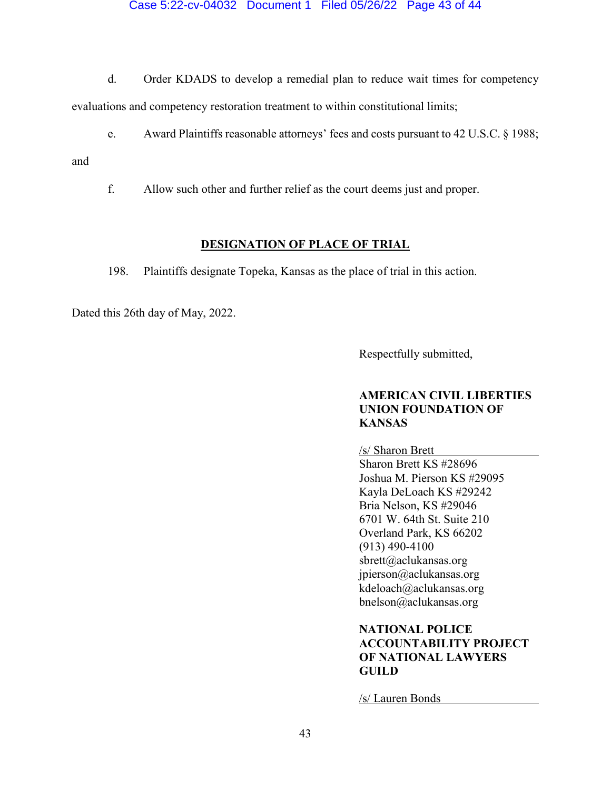Case 5:22-cv-04032 Document 1 Filed 05/26/22 Page 43 of 44

d. Order KDADS to develop a remedial plan to reduce wait times for competency evaluations and competency restoration treatment to within constitutional limits;

e. Award Plaintiffs reasonable attorneys' fees and costs pursuant to 42 U.S.C. § 1988;

and

f. Allow such other and further relief as the court deems just and proper.

## **DESIGNATION OF PLACE OF TRIAL**

198. Plaintiffs designate Topeka, Kansas as the place of trial in this action.

Dated this 26th day of May, 2022.

Respectfully submitted,

# **AMERICAN CIVIL LIBERTIES UNION FOUNDATION OF KANSAS**

/s/ Sharon Brett

Sharon Brett KS #28696 Joshua M. Pierson KS #29095 Kayla DeLoach KS #29242 Bria Nelson, KS #29046 6701 W. 64th St. Suite 210 Overland Park, KS 66202 (913) 490-4100 sbrett@aclukansas.org jpierson@aclukansas.org kdeloach@aclukansas.org bnelson@aclukansas.org

# **NATIONAL POLICE ACCOUNTABILITY PROJECT OF NATIONAL LAWYERS GUILD**

/s/ Lauren Bonds